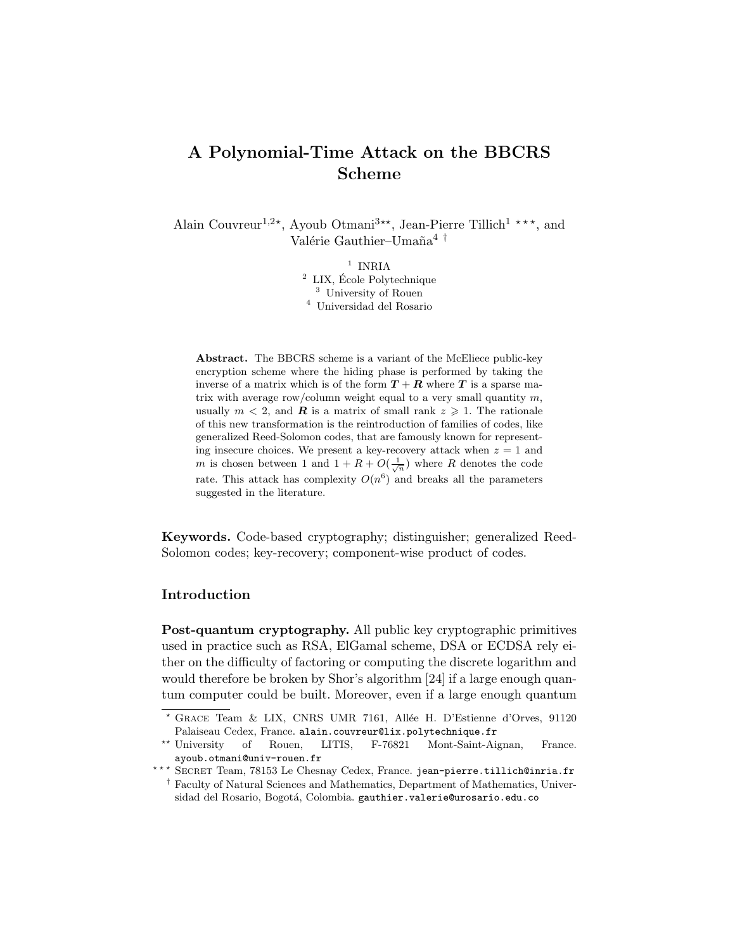# A Polynomial-Time Attack on the BBCRS Scheme

Alain Couvreur<sup>1,2\*</sup>, Ayoub Otmani<sup>3\*\*</sup>, Jean-Pierre Tillich<sup>1</sup> \*\*\*, and Valérie Gauthier–Umaña<sup>4†</sup>

> 1 INRIA  $^2\,$  LIX, École Polytechnique <sup>3</sup> University of Rouen <sup>4</sup> Universidad del Rosario

Abstract. The BBCRS scheme is a variant of the McEliece public-key encryption scheme where the hiding phase is performed by taking the inverse of a matrix which is of the form  $T + R$  where T is a sparse matrix with average row/column weight equal to a very small quantity  $m$ , usually  $m < 2$ , and **R** is a matrix of small rank  $z \geq 1$ . The rationale of this new transformation is the reintroduction of families of codes, like generalized Reed-Solomon codes, that are famously known for representing insecure choices. We present a key-recovery attack when  $z = 1$  and m is chosen between 1 and  $1 + R + O(\frac{1}{\sqrt{n}})$  where R denotes the code rate. This attack has complexity  $O(n^6)$  and breaks all the parameters suggested in the literature.

Keywords. Code-based cryptography; distinguisher; generalized Reed-Solomon codes; key-recovery; component-wise product of codes.

# Introduction

Post-quantum cryptography. All public key cryptographic primitives used in practice such as RSA, ElGamal scheme, DSA or ECDSA rely either on the difficulty of factoring or computing the discrete logarithm and would therefore be broken by Shor's algorithm [24] if a large enough quantum computer could be built. Moreover, even if a large enough quantum

GRACE Team & LIX, CNRS UMR 7161, Allée H. D'Estienne d'Orves, 91120 Palaiseau Cedex, France. alain.couvreur@lix.polytechnique.fr

<sup>\*\*</sup> University of Rouen, LITIS, F-76821 Mont-Saint-Aignan, France. ayoub.otmani@univ-rouen.fr

<sup>\*\*\*</sup> SECRET Team, 78153 Le Chesnay Cedex, France. jean-pierre.tillich@inria.fr † Faculty of Natural Sciences and Mathematics, Department of Mathematics, Universidad del Rosario, Bogotá, Colombia. gauthier.valerie@urosario.edu.co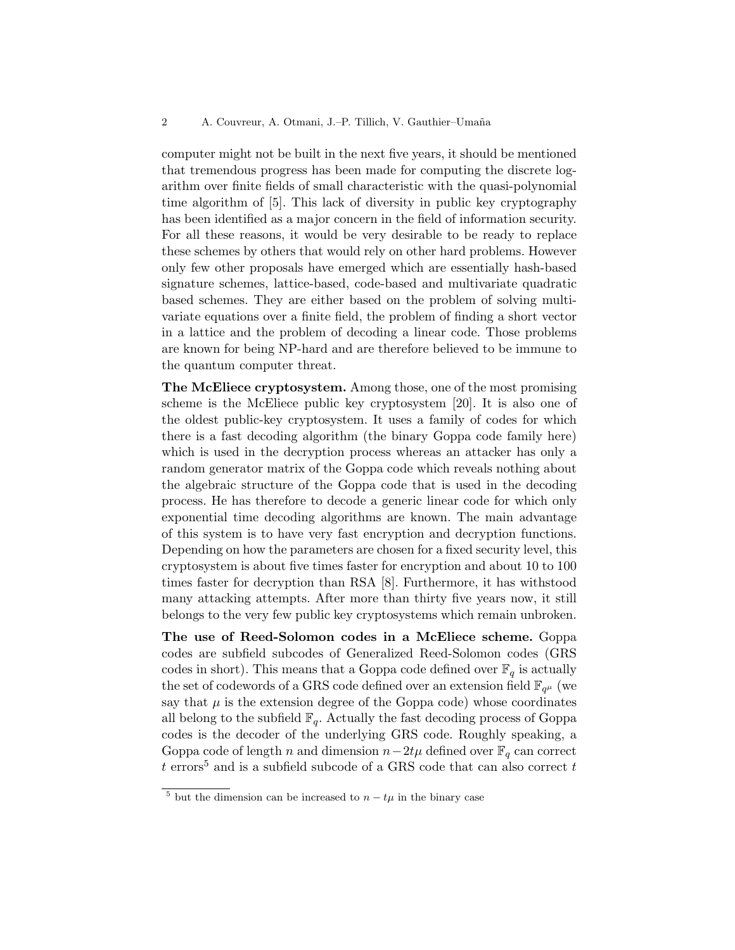computer might not be built in the next five years, it should be mentioned that tremendous progress has been made for computing the discrete logarithm over finite fields of small characteristic with the quasi-polynomial time algorithm of [5]. This lack of diversity in public key cryptography has been identified as a major concern in the field of information security. For all these reasons, it would be very desirable to be ready to replace these schemes by others that would rely on other hard problems. However only few other proposals have emerged which are essentially hash-based signature schemes, lattice-based, code-based and multivariate quadratic based schemes. They are either based on the problem of solving multivariate equations over a finite field, the problem of finding a short vector in a lattice and the problem of decoding a linear code. Those problems are known for being NP-hard and are therefore believed to be immune to the quantum computer threat.

The McEliece cryptosystem. Among those, one of the most promising scheme is the McEliece public key cryptosystem [20]. It is also one of the oldest public-key cryptosystem. It uses a family of codes for which there is a fast decoding algorithm (the binary Goppa code family here) which is used in the decryption process whereas an attacker has only a random generator matrix of the Goppa code which reveals nothing about the algebraic structure of the Goppa code that is used in the decoding process. He has therefore to decode a generic linear code for which only exponential time decoding algorithms are known. The main advantage of this system is to have very fast encryption and decryption functions. Depending on how the parameters are chosen for a fixed security level, this cryptosystem is about five times faster for encryption and about 10 to 100 times faster for decryption than RSA [8]. Furthermore, it has withstood many attacking attempts. After more than thirty five years now, it still belongs to the very few public key cryptosystems which remain unbroken.

The use of Reed-Solomon codes in a McEliece scheme. Goppa codes are subfield subcodes of Generalized Reed-Solomon codes (GRS codes in short). This means that a Goppa code defined over  $\mathbb{F}_q$  is actually the set of codewords of a GRS code defined over an extension field  $\mathbb{F}_{q^{\mu}}$  (we say that  $\mu$  is the extension degree of the Goppa code) whose coordinates all belong to the subfield  $\mathbb{F}_q$ . Actually the fast decoding process of Goppa codes is the decoder of the underlying GRS code. Roughly speaking, a Goppa code of length n and dimension  $n-2t\mu$  defined over  $\mathbb{F}_q$  can correct t errors<sup>5</sup> and is a subfield subcode of a GRS code that can also correct t

<sup>&</sup>lt;sup>5</sup> but the dimension can be increased to  $n - t\mu$  in the binary case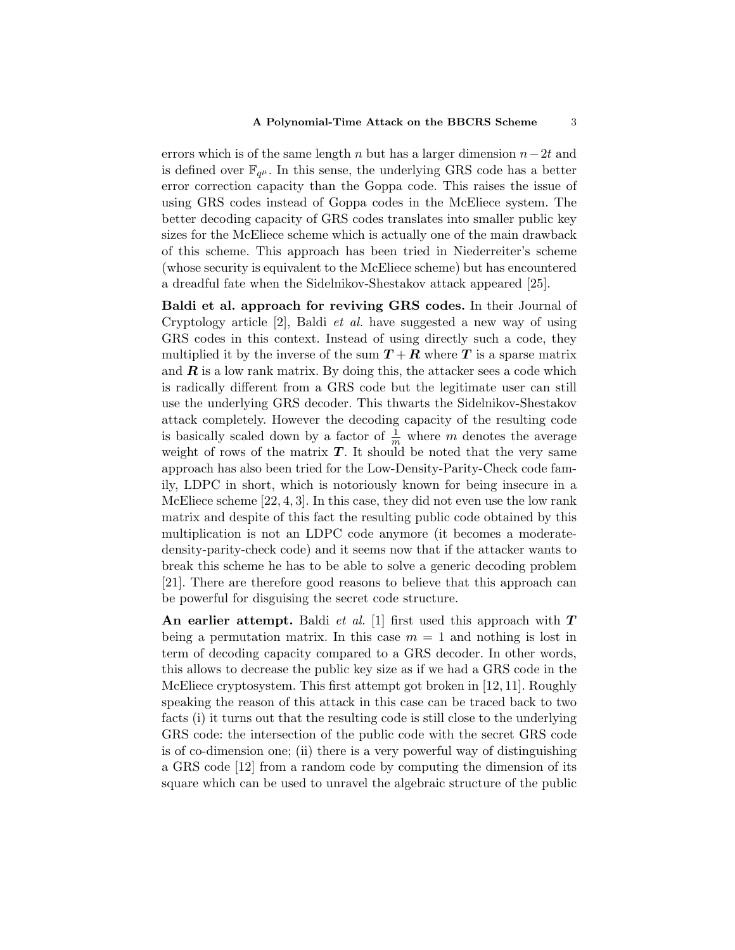errors which is of the same length n but has a larger dimension  $n-2t$  and is defined over  $\mathbb{F}_{q^{\mu}}$ . In this sense, the underlying GRS code has a better error correction capacity than the Goppa code. This raises the issue of using GRS codes instead of Goppa codes in the McEliece system. The better decoding capacity of GRS codes translates into smaller public key sizes for the McEliece scheme which is actually one of the main drawback of this scheme. This approach has been tried in Niederreiter's scheme (whose security is equivalent to the McEliece scheme) but has encountered a dreadful fate when the Sidelnikov-Shestakov attack appeared [25].

Baldi et al. approach for reviving GRS codes. In their Journal of Cryptology article [2], Baldi et al. have suggested a new way of using GRS codes in this context. Instead of using directly such a code, they multiplied it by the inverse of the sum  $T + R$  where T is a sparse matrix and  $\bf{R}$  is a low rank matrix. By doing this, the attacker sees a code which is radically different from a GRS code but the legitimate user can still use the underlying GRS decoder. This thwarts the Sidelnikov-Shestakov attack completely. However the decoding capacity of the resulting code is basically scaled down by a factor of  $\frac{1}{m}$  where m denotes the average weight of rows of the matrix  $T$ . It should be noted that the very same approach has also been tried for the Low-Density-Parity-Check code family, LDPC in short, which is notoriously known for being insecure in a McEliece scheme [22, 4, 3]. In this case, they did not even use the low rank matrix and despite of this fact the resulting public code obtained by this multiplication is not an LDPC code anymore (it becomes a moderatedensity-parity-check code) and it seems now that if the attacker wants to break this scheme he has to be able to solve a generic decoding problem [21]. There are therefore good reasons to believe that this approach can be powerful for disguising the secret code structure.

An earlier attempt. Baldi et al. [1] first used this approach with  $T$ being a permutation matrix. In this case  $m = 1$  and nothing is lost in term of decoding capacity compared to a GRS decoder. In other words, this allows to decrease the public key size as if we had a GRS code in the McEliece cryptosystem. This first attempt got broken in [12, 11]. Roughly speaking the reason of this attack in this case can be traced back to two facts (i) it turns out that the resulting code is still close to the underlying GRS code: the intersection of the public code with the secret GRS code is of co-dimension one; (ii) there is a very powerful way of distinguishing a GRS code [12] from a random code by computing the dimension of its square which can be used to unravel the algebraic structure of the public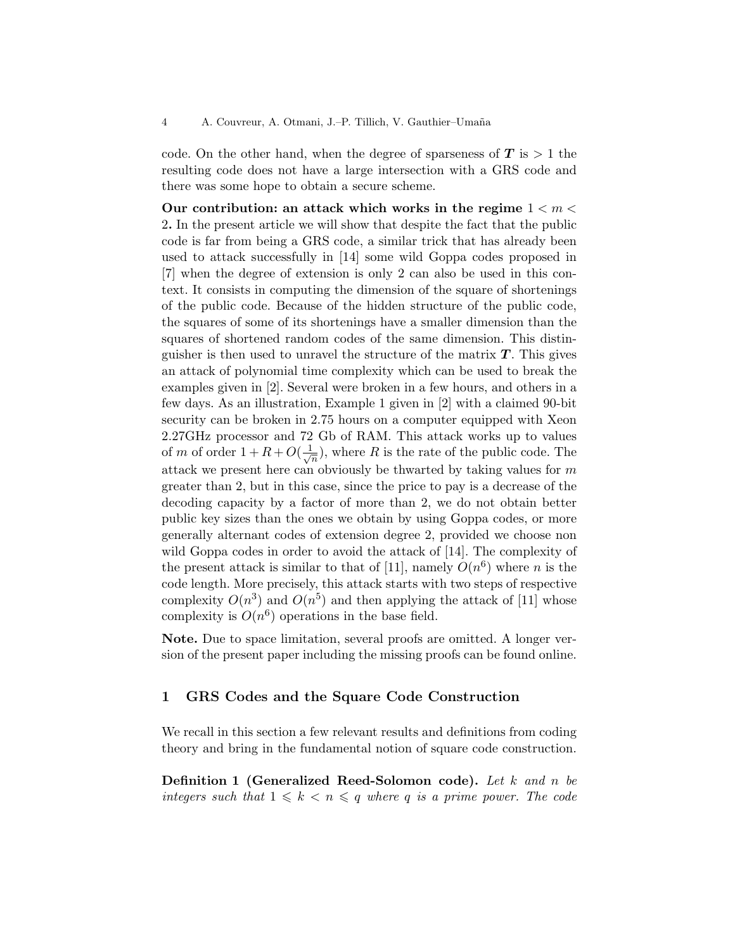code. On the other hand, when the degree of sparseness of  $T$  is  $> 1$  the resulting code does not have a large intersection with a GRS code and there was some hope to obtain a secure scheme.

Our contribution: an attack which works in the regime  $1 < m <$ 2. In the present article we will show that despite the fact that the public code is far from being a GRS code, a similar trick that has already been used to attack successfully in [14] some wild Goppa codes proposed in [7] when the degree of extension is only 2 can also be used in this context. It consists in computing the dimension of the square of shortenings of the public code. Because of the hidden structure of the public code, the squares of some of its shortenings have a smaller dimension than the squares of shortened random codes of the same dimension. This distinguisher is then used to unravel the structure of the matrix  $T$ . This gives an attack of polynomial time complexity which can be used to break the examples given in [2]. Several were broken in a few hours, and others in a few days. As an illustration, Example 1 given in [2] with a claimed 90-bit security can be broken in 2.75 hours on a computer equipped with Xeon 2.27GHz processor and 72 Gb of RAM. This attack works up to values of m of order  $1 + R + O(\frac{1}{\sqrt{k}})$  $(\frac{1}{n})$ , where R is the rate of the public code. The attack we present here can obviously be thwarted by taking values for  $m$ greater than 2, but in this case, since the price to pay is a decrease of the decoding capacity by a factor of more than 2, we do not obtain better public key sizes than the ones we obtain by using Goppa codes, or more generally alternant codes of extension degree 2, provided we choose non wild Goppa codes in order to avoid the attack of [14]. The complexity of the present attack is similar to that of [11], namely  $O(n^6)$  where n is the code length. More precisely, this attack starts with two steps of respective complexity  $O(n^3)$  and  $O(n^5)$  and then applying the attack of [11] whose complexity is  $O(n^6)$  operations in the base field.

Note. Due to space limitation, several proofs are omitted. A longer version of the present paper including the missing proofs can be found online.

# 1 GRS Codes and the Square Code Construction

We recall in this section a few relevant results and definitions from coding theory and bring in the fundamental notion of square code construction.

Definition 1 (Generalized Reed-Solomon code). Let k and n be integers such that  $1 \leq k < n \leq q$  where q is a prime power. The code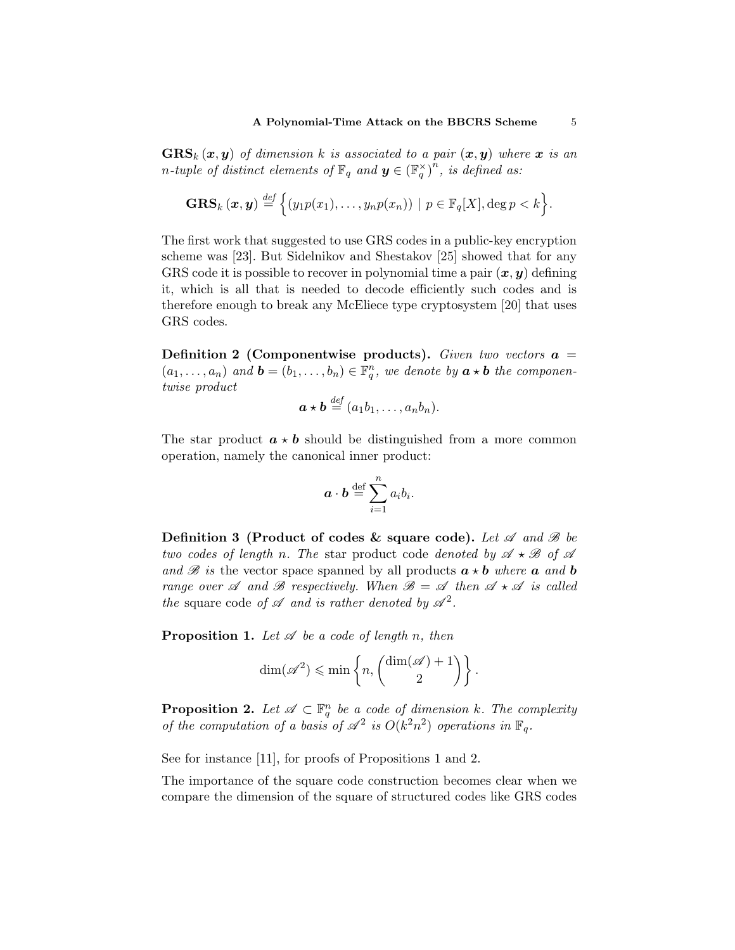$GRS_k(x, y)$  of dimension k is associated to a pair  $(x, y)$  where x is an n-tuple of distinct elements of  $\mathbb{F}_q$  and  $\boldsymbol{y} \in \left(\mathbb{F}_q^{\times}\right)^{\tilde{n}}$ , is defined as:

$$
\mathbf{GRS}_{k}(\boldsymbol{x},\boldsymbol{y}) \stackrel{\text{def}}{=} \Big\{ (y_1p(x_1),\ldots,y_np(x_n)) \mid p \in \mathbb{F}_q[X], \deg p < k \Big\}.
$$

The first work that suggested to use GRS codes in a public-key encryption scheme was [23]. But Sidelnikov and Shestakov [25] showed that for any GRS code it is possible to recover in polynomial time a pair  $(x, y)$  defining it, which is all that is needed to decode efficiently such codes and is therefore enough to break any McEliece type cryptosystem [20] that uses GRS codes.

Definition 2 (Componentwise products). Given two vectors  $a =$  $(a_1, \ldots, a_n)$  and  $\mathbf{b} = (b_1, \ldots, b_n) \in \mathbb{F}_q^n$ , we denote by  $\mathbf{a} \star \mathbf{b}$  the componentwise product

$$
\boldsymbol{a} \star \boldsymbol{b} \stackrel{def}{=} (a_1b_1, \ldots, a_nb_n).
$$

The star product  $a \star b$  should be distinguished from a more common operation, namely the canonical inner product:

$$
\boldsymbol{a} \cdot \boldsymbol{b} \stackrel{\text{def}}{=} \sum_{i=1}^{n} a_i b_i.
$$

Definition 3 (Product of codes & square code). Let  $\mathscr A$  and  $\mathscr B$  be two codes of length n. The star product code denoted by  $\mathscr{A} \star \mathscr{B}$  of  $\mathscr{A}$ and  $\mathscr B$  is the vector space spanned by all products  $\boldsymbol{a} \star \boldsymbol{b}$  where  $\boldsymbol{a}$  and  $\boldsymbol{b}$ range over  $\mathscr A$  and  $\mathscr B$  respectively. When  $\mathscr B = \mathscr A$  then  $\mathscr A \star \mathscr A$  is called the square code of  $\mathscr A$  and is rather denoted by  $\mathscr A^2$ .

**Proposition 1.** Let  $\mathscr A$  be a code of length n, then

$$
\dim(\mathscr{A}^2) \leqslant \min\left\{n, \binom{\dim(\mathscr{A})+1}{2}\right\}.
$$

**Proposition 2.** Let  $\mathscr{A} \subset \mathbb{F}_q^n$  be a code of dimension k. The complexity of the computation of a basis of  $\mathscr{A}^2$  is  $O(k^2n^2)$  operations in  $\mathbb{F}_q$ .

See for instance [11], for proofs of Propositions 1 and 2.

The importance of the square code construction becomes clear when we compare the dimension of the square of structured codes like GRS codes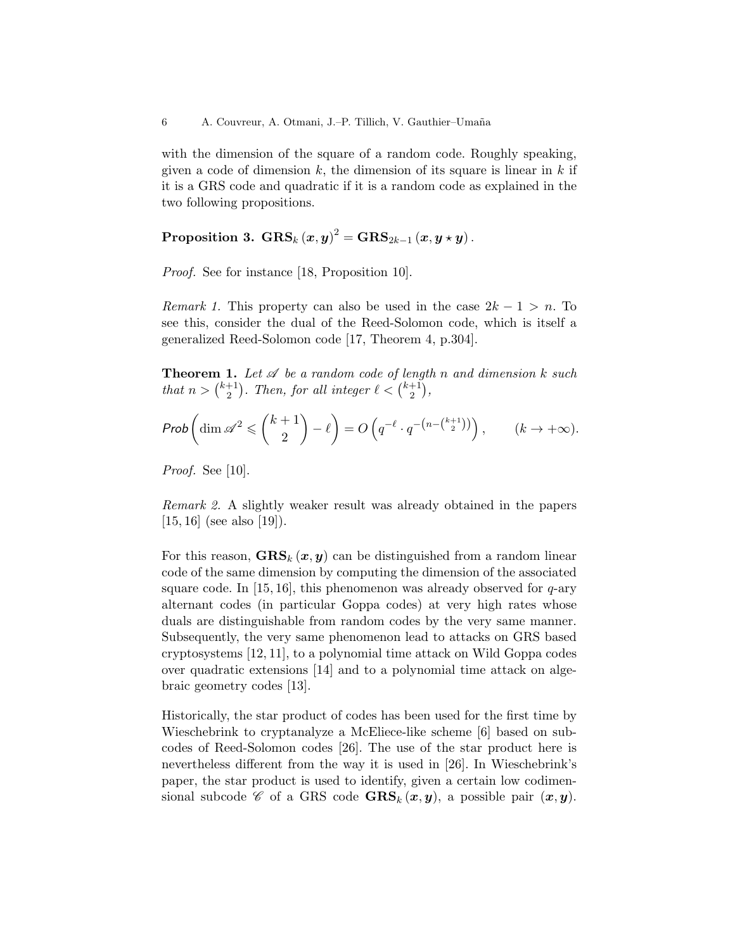with the dimension of the square of a random code. Roughly speaking, given a code of dimension  $k$ , the dimension of its square is linear in  $k$  if it is a GRS code and quadratic if it is a random code as explained in the two following propositions.

 $\text{Proposition 3. } \text{GRS}_k \left( x, y \right)^2 = \text{GRS}_{2k-1} \left( x, y \star y \right).$ 

Proof. See for instance [18, Proposition 10].

Remark 1. This property can also be used in the case  $2k - 1 > n$ . To see this, consider the dual of the Reed-Solomon code, which is itself a generalized Reed-Solomon code [17, Theorem 4, p.304].

**Theorem 1.** Let  $\mathscr A$  be a random code of length n and dimension k such that  $n > \binom{k+1}{2}$  $\binom{+1}{2}$ . Then, for all integer  $\ell < \binom{k+1}{2}$  $_{2}^{+1}),$ 

$$
\mathsf{Prob}\left(\dim \mathscr{A}^2 \leqslant \binom{k+1}{2} - \ell\right) = O\left(q^{-\ell} \cdot q^{-\left(n - \binom{k+1}{2}\right)}\right), \qquad (k \to +\infty).
$$

Proof. See [10].

Remark 2. A slightly weaker result was already obtained in the papers  $[15, 16]$  (see also  $[19]$ ).

For this reason,  $\text{GRS}_k(x, y)$  can be distinguished from a random linear code of the same dimension by computing the dimension of the associated square code. In [15, 16], this phenomenon was already observed for  $q$ -ary alternant codes (in particular Goppa codes) at very high rates whose duals are distinguishable from random codes by the very same manner. Subsequently, the very same phenomenon lead to attacks on GRS based cryptosystems [12, 11], to a polynomial time attack on Wild Goppa codes over quadratic extensions [14] and to a polynomial time attack on algebraic geometry codes [13].

Historically, the star product of codes has been used for the first time by Wieschebrink to cryptanalyze a McEliece-like scheme [6] based on subcodes of Reed-Solomon codes [26]. The use of the star product here is nevertheless different from the way it is used in [26]. In Wieschebrink's paper, the star product is used to identify, given a certain low codimensional subcode  $\mathscr C$  of a GRS code  $\text{GRS}_k(x, y)$ , a possible pair  $(x, y)$ .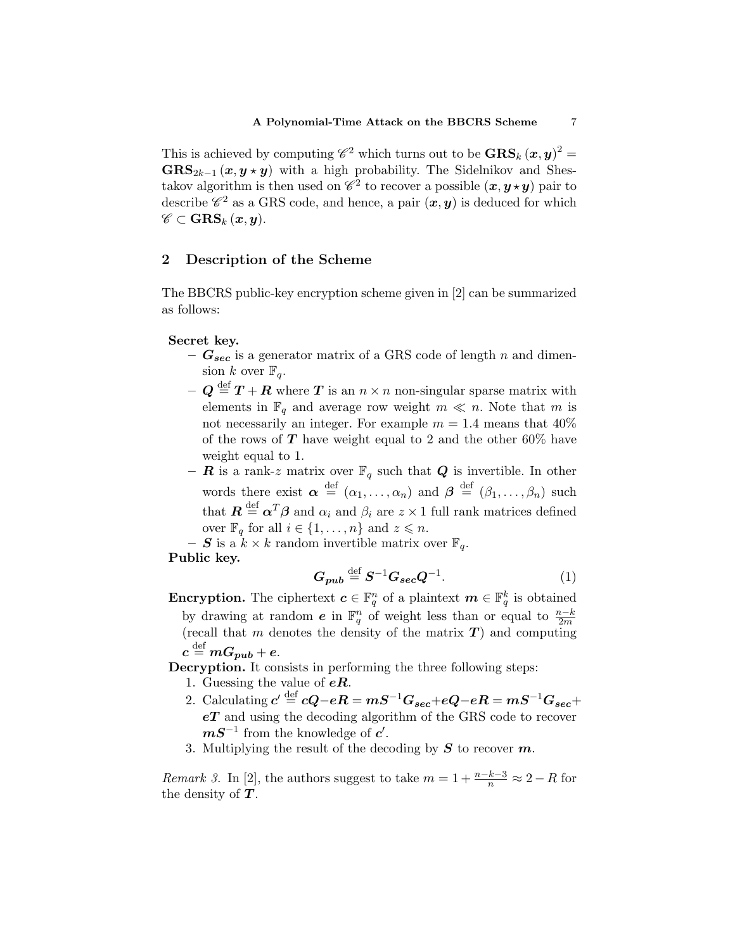This is achieved by computing  $\mathscr{C}^2$  which turns out to be  $\text{GRS}_k(\boldsymbol{x}, \boldsymbol{y})^2 =$  $GRS_{2k-1}(x, y \star y)$  with a high probability. The Sidelnikov and Shestakov algorithm is then used on  $\mathscr{C}^2$  to recover a possible  $(x, y \star y)$  pair to describe  $\mathscr{C}^2$  as a GRS code, and hence, a pair  $(\boldsymbol{x}, \boldsymbol{y})$  is deduced for which  $\mathscr{C} \subset \text{GRS}_k(x, y)$ .

# 2 Description of the Scheme

The BBCRS public-key encryption scheme given in [2] can be summarized as follows:

### Secret key.

- $G_{sec}$  is a generator matrix of a GRS code of length n and dimension k over  $\mathbb{F}_q$ .
- $\boldsymbol{Q} \stackrel{\text{def}}{=} \boldsymbol{T} + \boldsymbol{R}$  where  $\boldsymbol{T}$  is an  $n \times n$  non-singular sparse matrix with elements in  $\mathbb{F}_q$  and average row weight  $m \ll n$ . Note that m is not necessarily an integer. For example  $m = 1.4$  means that  $40\%$ of the rows of  $T$  have weight equal to 2 and the other 60% have weight equal to 1.
- **R** is a rank-z matrix over  $\mathbb{F}_q$  such that **Q** is invertible. In other words there exist  $\alpha \stackrel{\text{def}}{=} (\alpha_1, \ldots, \alpha_n)$  and  $\beta \stackrel{\text{def}}{=} (\beta_1, \ldots, \beta_n)$  such that  $\mathbf{R} \stackrel{\text{def}}{=} \boldsymbol{\alpha}^T \boldsymbol{\beta}$  and  $\alpha_i$  and  $\beta_i$  are  $z \times 1$  full rank matrices defined over  $\mathbb{F}_q$  for all  $i \in \{1, \ldots, n\}$  and  $z \leq n$ .

 $-$  S is a  $k \times k$  random invertible matrix over  $\mathbb{F}_q$ .

Public key.

$$
G_{pub} \stackrel{\text{def}}{=} S^{-1} G_{sec} Q^{-1}.
$$
 (1)

- **Encryption.** The ciphertext  $c \in \mathbb{F}_q^n$  of a plaintext  $m \in \mathbb{F}_q^k$  is obtained by drawing at random  $e$  in  $\mathbb{F}_q^n$  of weight less than or equal to  $\frac{n-k}{2m}$ (recall that m denotes the density of the matrix  $T$ ) and computing  $\boldsymbol{c} \stackrel{\text{def}}{=} \boldsymbol{m}\boldsymbol{G_{pub}} + \boldsymbol{e}.$
- Decryption. It consists in performing the three following steps:
	- 1. Guessing the value of  $eR$ .
	- 2. Calculating  $\boldsymbol{c}'\stackrel{\text{def}}{=} \boldsymbol{c}\boldsymbol{Q}-\boldsymbol{e}\boldsymbol{R}=m\boldsymbol{S}^{-1}\boldsymbol{G_{sec}}+\boldsymbol{e}\boldsymbol{Q}-\boldsymbol{e}\boldsymbol{R}=m\boldsymbol{S}^{-1}\boldsymbol{G_{sec}}+$  $e\mathbfit{T}$  and using the decoding algorithm of the GRS code to recover  $\boldsymbol{m} \boldsymbol{S}^{-1}$  from the knowledge of  $\boldsymbol{c}'$ .
	- 3. Multiplying the result of the decoding by  $S$  to recover  $m$ .

*Remark 3.* In [2], the authors suggest to take  $m = 1 + \frac{n-k-3}{n} \approx 2 - R$  for the density of  $T$ .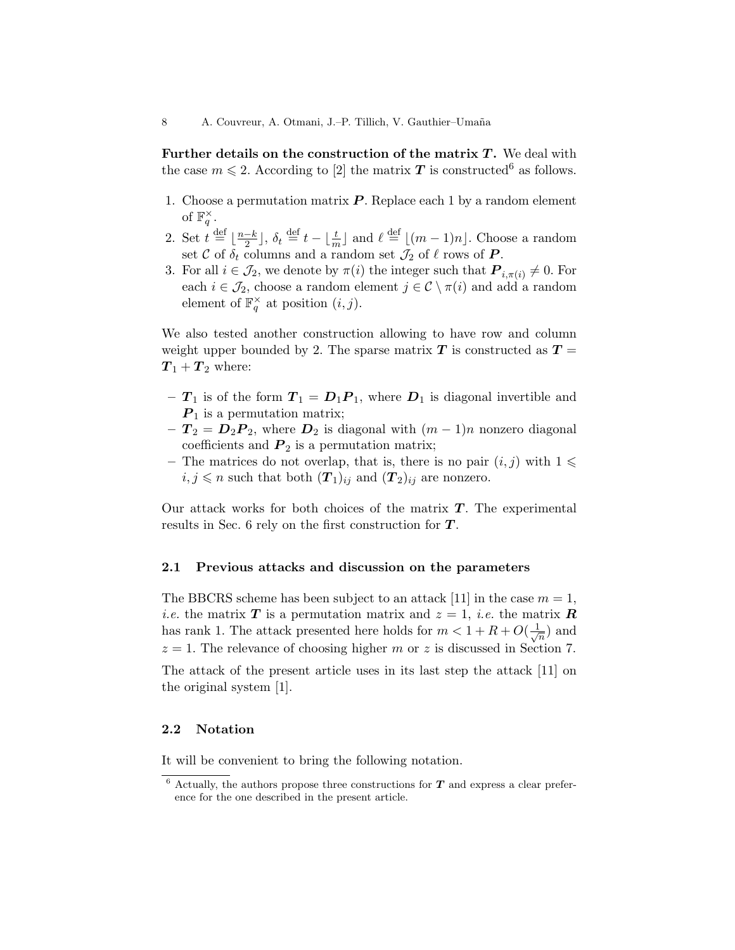Further details on the construction of the matrix  $T$ . We deal with the case  $m \leq 2$ . According to [2] the matrix T is constructed<sup>6</sup> as follows.

- 1. Choose a permutation matrix  $P$ . Replace each 1 by a random element of  $\mathbb{F}_q^{\times}$ .
- 2. Set  $t \stackrel{\text{def}}{=} \left| \frac{n-k}{2} \right|$  $\frac{-k}{2}$ ,  $\delta_t \stackrel{\text{def}}{=} t - \lfloor \frac{t}{m} \rfloor$  and  $\ell \stackrel{\text{def}}{=} \lfloor (m-1)n \rfloor$ . Choose a random set C of  $\delta_t$  columns and a random set  $\mathcal{J}_2$  of  $\ell$  rows of P.
- 3. For all  $i \in \mathcal{J}_2$ , we denote by  $\pi(i)$  the integer such that  $\boldsymbol{P}_{i,\pi(i)} \neq 0$ . For each  $i \in \mathcal{J}_2$ , choose a random element  $j \in \mathcal{C} \setminus \pi(i)$  and add a random element of  $\mathbb{F}_q^{\times}$  at position  $(i, j)$ .

We also tested another construction allowing to have row and column weight upper bounded by 2. The sparse matrix  $T$  is constructed as  $T =$  $T_1 + T_2$  where:

- $T_1$  is of the form  $T_1 = D_1 P_1$ , where  $D_1$  is diagonal invertible and  $P_1$  is a permutation matrix;
- $T_2 = D_2 P_2$ , where  $D_2$  is diagonal with  $(m-1)n$  nonzero diagonal coefficients and  $P_2$  is a permutation matrix;
- The matrices do not overlap, that is, there is no pair  $(i, j)$  with  $1 \leq$  $i, j \leq n$  such that both  $(T_1)_{ij}$  and  $(T_2)_{ij}$  are nonzero.

Our attack works for both choices of the matrix  $T$ . The experimental results in Sec. 6 rely on the first construction for  $T$ .

# 2.1 Previous attacks and discussion on the parameters

The BBCRS scheme has been subject to an attack [11] in the case  $m = 1$ , *i.e.* the matrix **T** is a permutation matrix and  $z = 1$ , *i.e.* the matrix **R** has rank 1. The attack presented here holds for  $m < 1 + R + O(\frac{1}{\sqrt{k}})$  $\frac{1}{n}$  and  $z = 1$ . The relevance of choosing higher m or z is discussed in Section 7. The attack of the present article uses in its last step the attack [11] on the original system [1].

#### 2.2 Notation

It will be convenient to bring the following notation.

 $6$  Actually, the authors propose three constructions for  $T$  and express a clear preference for the one described in the present article.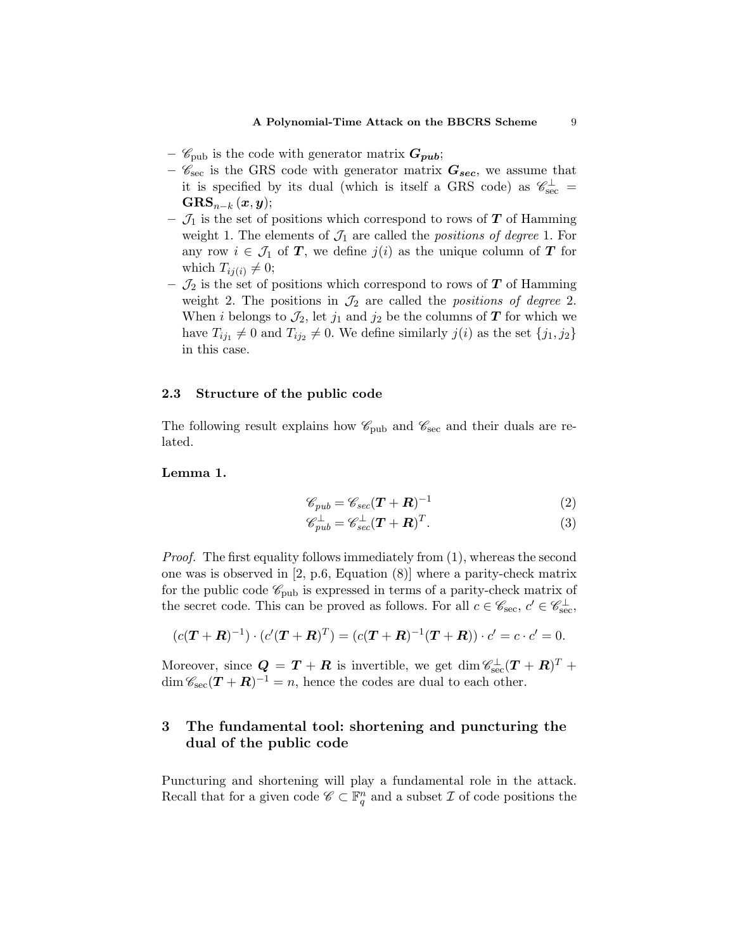- $\mathscr{C}_{\text{pub}}$  is the code with generator matrix  $G_{pub}$ ;
- $\mathcal{C}_{\text{sec}}$  is the GRS code with generator matrix  $G_{sec}$ , we assume that it is specified by its dual (which is itself a GRS code) as  $\mathscr{C}^{\perp}_{\text{sec}}$  =  $\text{GRS}_{n-k} (x, y);$
- $\mathcal{J}_1$  is the set of positions which correspond to rows of T of Hamming weight 1. The elements of  $\mathcal{J}_1$  are called the *positions of degree* 1. For any row  $i \in \mathcal{J}_1$  of  $T$ , we define  $j(i)$  as the unique column of  $T$  for which  $T_{ij(i)} \neq 0;$
- $\mathcal{J}_2$  is the set of positions which correspond to rows of T of Hamming weight 2. The positions in  $\mathcal{J}_2$  are called the *positions of degree* 2. When *i* belongs to  $\mathcal{J}_2$ , let  $j_1$  and  $j_2$  be the columns of **T** for which we have  $T_{ij_1} \neq 0$  and  $T_{ij_2} \neq 0$ . We define similarly  $j(i)$  as the set  $\{j_1, j_2\}$ in this case.

#### 2.3 Structure of the public code

The following result explains how  $\mathscr{C}_{\text{pub}}$  and  $\mathscr{C}_{\text{sec}}$  and their duals are related.

#### Lemma 1.

$$
\mathscr{C}_{pub} = \mathscr{C}_{sec}(\boldsymbol{T} + \boldsymbol{R})^{-1} \tag{2}
$$

$$
\mathscr{C}_{pub}^{\perp} = \mathscr{C}_{sec}^{\perp}(\boldsymbol{T} + \boldsymbol{R})^T.
$$
\n(3)

Proof. The first equality follows immediately from (1), whereas the second one was is observed in [2, p.6, Equation (8)] where a parity-check matrix for the public code  $\mathscr{C}_{\text{pub}}$  is expressed in terms of a parity-check matrix of the secret code. This can be proved as follows. For all  $c \in \mathscr{C}_{\sec}, c' \in \mathscr{C}_{\sec}^{\perp}$ 

$$
(c(\mathbf{T} + \mathbf{R})^{-1}) \cdot (c'(\mathbf{T} + \mathbf{R})^{T}) = (c(\mathbf{T} + \mathbf{R})^{-1}(\mathbf{T} + \mathbf{R})) \cdot c' = c \cdot c' = 0.
$$

Moreover, since  $Q = T + R$  is invertible, we get  $\dim \mathscr{C}_{\mathrm{sec}}^{\perp}(T + R)^{T}$  +  $\dim \mathscr{C}_{\rm sec}(\boldsymbol{T} + \boldsymbol{R})^{-1} = n$ , hence the codes are dual to each other.

# 3 The fundamental tool: shortening and puncturing the dual of the public code

Puncturing and shortening will play a fundamental role in the attack. Recall that for a given code  $\mathscr{C} \subset \mathbb{F}_q^n$  and a subset  $\mathcal I$  of code positions the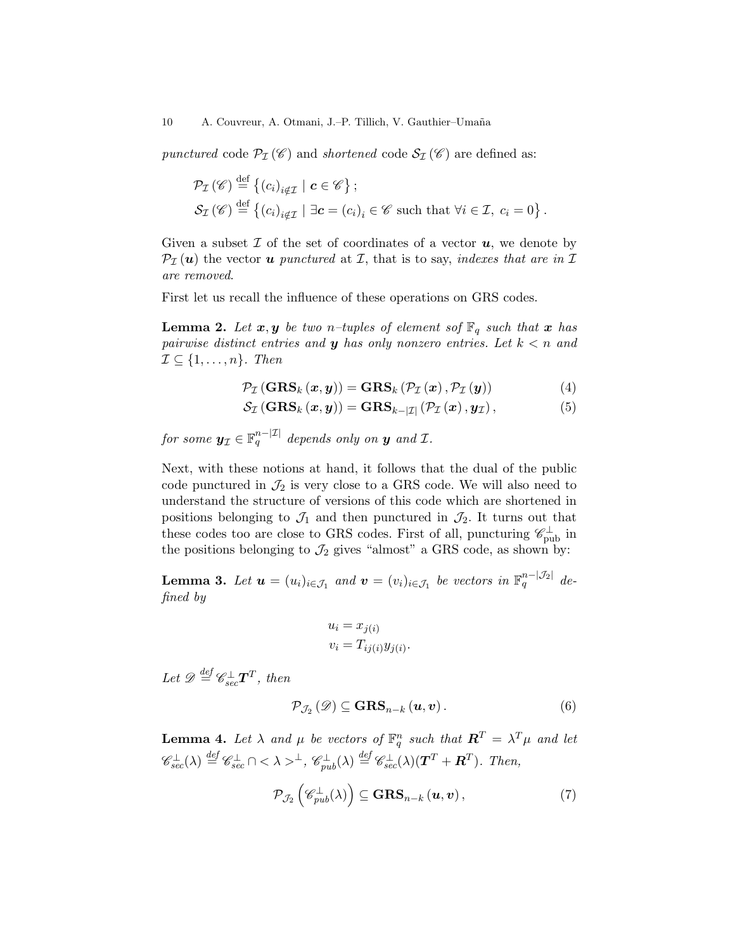punctured code  $\mathcal{P}_{\mathcal{I}}(\mathscr{C})$  and shortened code  $\mathcal{S}_{\mathcal{I}}(\mathscr{C})$  are defined as:

$$
\mathcal{P}_{\mathcal{I}}(\mathscr{C}) \stackrel{\text{def}}{=} \left\{ (c_i)_{i \notin \mathcal{I}} \mid \mathbf{c} \in \mathscr{C} \right\};
$$
  

$$
\mathcal{S}_{\mathcal{I}}(\mathscr{C}) \stackrel{\text{def}}{=} \left\{ (c_i)_{i \notin \mathcal{I}} \mid \exists \mathbf{c} = (c_i)_i \in \mathscr{C} \text{ such that } \forall i \in \mathcal{I}, c_i = 0 \right\}.
$$

Given a subset  $\mathcal I$  of the set of coordinates of a vector  $u$ , we denote by  $P_{\mathcal{I}}(\boldsymbol{u})$  the vector  $\boldsymbol{u}$  punctured at  $\mathcal{I}$ , that is to say, indexes that are in  $\mathcal{I}$ are removed.

First let us recall the influence of these operations on GRS codes.

**Lemma 2.** Let  $x, y$  be two n-tuples of element sof  $\mathbb{F}_q$  such that x has pairwise distinct entries and **y** has only nonzero entries. Let  $k < n$  and  $\mathcal{I} \subseteq \{1, \ldots, n\}$ . Then

$$
\mathcal{P}_{\mathcal{I}}\left(\mathbf{GRS}_{k}\left(\boldsymbol{x},\boldsymbol{y}\right)\right)=\mathbf{GRS}_{k}\left(\mathcal{P}_{\mathcal{I}}\left(\boldsymbol{x}\right),\mathcal{P}_{\mathcal{I}}\left(\boldsymbol{y}\right)\right) \tag{4}
$$

$$
\mathcal{S}_{\mathcal{I}}\left(\mathbf{GRS}_{k}\left(\boldsymbol{x},\boldsymbol{y}\right)\right)=\mathbf{GRS}_{k-\left|\mathcal{I}\right|}\left(\mathcal{P}_{\mathcal{I}}\left(\boldsymbol{x}\right),\boldsymbol{y}_{\mathcal{I}}\right),\tag{5}
$$

for some  $\boldsymbol{y}_{\mathcal{I}}\in\mathbb{F}_q^{n-|\mathcal{I}|}$  depends only on  $\boldsymbol{y}$  and  $\mathcal{I}.$ 

Next, with these notions at hand, it follows that the dual of the public code punctured in  $\mathcal{J}_2$  is very close to a GRS code. We will also need to understand the structure of versions of this code which are shortened in positions belonging to  $\mathcal{J}_1$  and then punctured in  $\mathcal{J}_2$ . It turns out that these codes too are close to GRS codes. First of all, puncturing  $\mathscr{C}^{\perp}_{\text{pub}}$  in the positions belonging to  $\mathcal{J}_2$  gives "almost" a GRS code, as shown by:

**Lemma 3.** Let  $u = (u_i)_{i \in \mathcal{J}_1}$  and  $v = (v_i)_{i \in \mathcal{J}_1}$  be vectors in  $\mathbb{F}_q^{n-|\mathcal{J}_2|}$  defined by

$$
u_i = x_{j(i)}
$$
  

$$
v_i = T_{ij(i)} y_{j(i)}.
$$

Let  $\mathscr{D} \stackrel{def}{=} \mathscr{C}_{sec}^{\perp} \boldsymbol{T}^T$ , then

$$
\mathcal{P}_{\mathcal{J}_2}(\mathscr{D}) \subseteq \mathbf{GRS}_{n-k}(\boldsymbol{u},\boldsymbol{v}). \tag{6}
$$

**Lemma 4.** Let  $\lambda$  and  $\mu$  be vectors of  $\mathbb{F}_q^n$  such that  $\mathbf{R}^T = \lambda^T \mu$  and let  $\mathscr{C}_{sec}^{\perp}(\lambda) \stackrel{def}{=} \mathscr{C}_{sec}^{\perp} \cap \langle \lambda \rangle^{\perp}, \ \mathscr{C}_{pub}^{\perp}(\lambda) \stackrel{def}{=} \mathscr{C}_{sec}^{\perp}(\lambda) (T^{T} + \mathbf{R}^{T}).$  Then,

$$
\mathcal{P}_{\mathcal{J}_2}\left(\mathscr{C}_{pub}^{\perp}(\lambda)\right) \subseteq \mathbf{GRS}_{n-k}\left(\boldsymbol{u},\boldsymbol{v}\right),\tag{7}
$$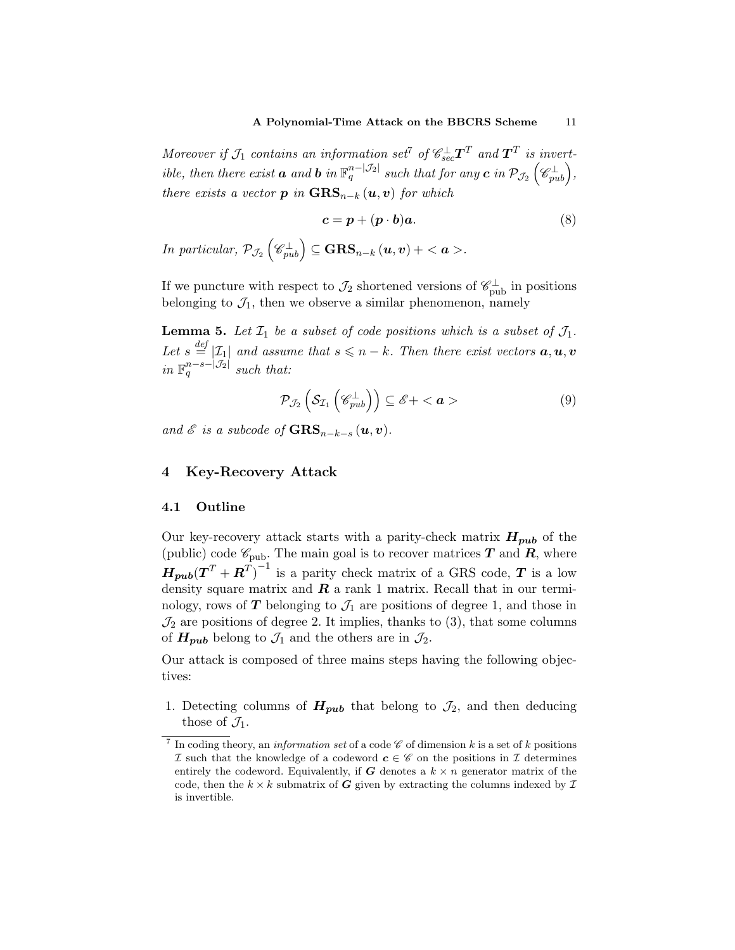Moreover if  $\mathcal{J}_1$  contains an information set<sup>7</sup> of  $\mathscr{C}^{\perp}_{sec} \boldsymbol{T}^T$  and  $\boldsymbol{T}^T$  is invert $i$ ble, then there exist  $\bm{a}$  and  $\bm{b}$  in  $\mathbb{F}_q^{n-|\mathcal{J}_2|}$  such that for any  $\bm{c}$  in  $\mathcal{P}_{\mathcal{J}_2}\left(\mathscr{C}^\perp_{pub}\right)$ , there exists a vector **p** in  $\mathbf{GRS}_{n-k}(\boldsymbol{u}, \boldsymbol{v})$  for which

$$
c = p + (p \cdot b)a. \tag{8}
$$

In particular,  $\mathcal{P}_{\mathcal{J}_2}\left(\mathscr{C}_{pub}^\perp\right) \subseteq \text{{\bf GRS}}_{n-k}(\bm{u},\bm{v}) + \langle \bm{a} \rangle.$ 

If we puncture with respect to  $\mathcal{J}_2$  shortened versions of  $\mathscr{C}^\perp_{\text{pub}}$  in positions belonging to  $\mathcal{J}_1$ , then we observe a similar phenomenon, namely

**Lemma 5.** Let  $\mathcal{I}_1$  be a subset of code positions which is a subset of  $\mathcal{J}_1$ . Let  $s \stackrel{\text{def}}{=} |\mathcal{I}_1|$  and assume that  $s \leqslant n-k$ . Then there exist vectors  $a, u, v$ in  $\mathbb{F}_q^{n-s-|\mathcal{J}_2|}$  such that:

$$
\mathcal{P}_{\mathcal{J}_2}\left(\mathcal{S}_{\mathcal{I}_1}\left(\mathscr{C}_{pub}^{\perp}\right)\right) \subseteq \mathscr{E} + \langle a \rangle \tag{9}
$$

and  $\mathscr E$  is a subcode of  $\text{GRS}_{n-k-s}(\boldsymbol u,\boldsymbol v)$ .

## 4 Key-Recovery Attack

#### 4.1 Outline

Our key-recovery attack starts with a parity-check matrix  $H_{pub}$  of the (public) code  $\mathscr{C}_{\text{pub}}$ . The main goal is to recover matrices T and R, where  $H_{pub}(T^T + R^T)^{-1}$  is a parity check matrix of a GRS code, T is a low density square matrix and  $\boldsymbol{R}$  a rank 1 matrix. Recall that in our terminology, rows of  $T$  belonging to  $\mathcal{J}_1$  are positions of degree 1, and those in  $\mathcal{J}_2$  are positions of degree 2. It implies, thanks to (3), that some columns of  $H_{pub}$  belong to  $\mathcal{J}_1$  and the others are in  $\mathcal{J}_2$ .

Our attack is composed of three mains steps having the following objectives:

1. Detecting columns of  $H_{pub}$  that belong to  $\mathcal{J}_2$ , and then deducing those of  $\mathcal{J}_1$ .

<sup>&</sup>lt;sup>7</sup> In coding theory, an *information set* of a code  $\mathscr C$  of dimension k is a set of k positions I such that the knowledge of a codeword  $c \in \mathscr{C}$  on the positions in I determines entirely the codeword. Equivalently, if  $G$  denotes a  $k \times n$  generator matrix of the code, then the  $k \times k$  submatrix of G given by extracting the columns indexed by  $\mathcal I$ is invertible.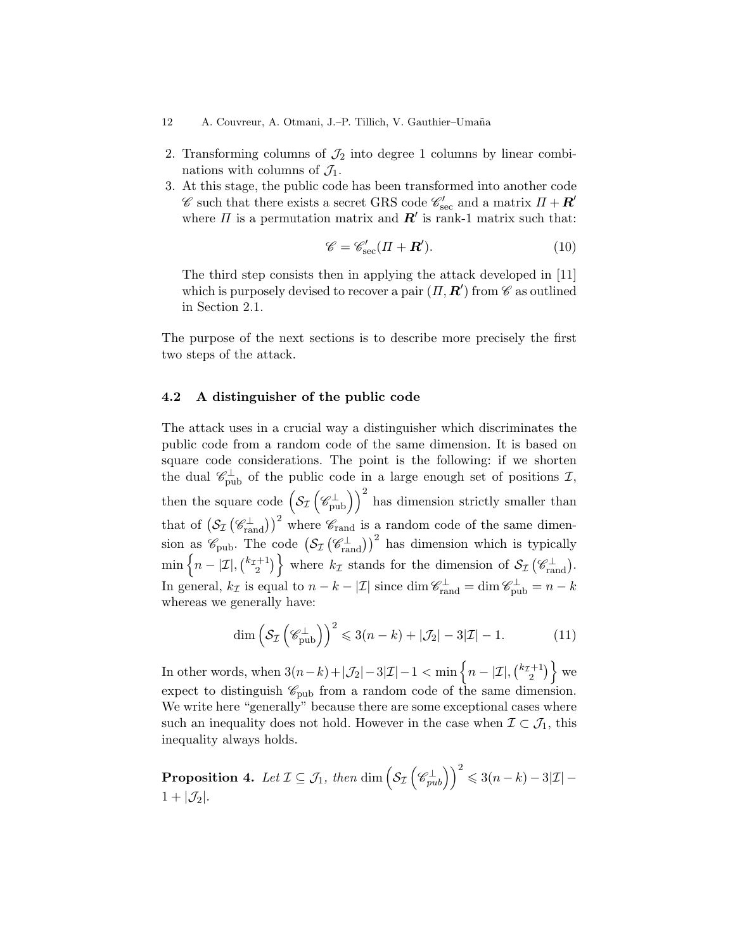- 12 A. Couvreur, A. Otmani, J.–P. Tillich, V. Gauthier–Umaña
- 2. Transforming columns of  $\mathcal{J}_2$  into degree 1 columns by linear combinations with columns of  $\mathcal{J}_1$ .
- 3. At this stage, the public code has been transformed into another code  $\mathscr C$  such that there exists a secret GRS code  $\mathscr C'_{\rm sec}$  and a matrix  $\Pi + \boldsymbol R'$ where  $\Pi$  is a permutation matrix and  $\mathbf{R}'$  is rank-1 matrix such that:

$$
\mathscr{C} = \mathscr{C}'_{\text{sec}}(\Pi + \mathbf{R}'). \tag{10}
$$

The third step consists then in applying the attack developed in [11] which is purposely devised to recover a pair  $(\Pi, \mathbf{R}')$  from  $\mathscr C$  as outlined in Section 2.1.

The purpose of the next sections is to describe more precisely the first two steps of the attack.

#### 4.2 A distinguisher of the public code

The attack uses in a crucial way a distinguisher which discriminates the public code from a random code of the same dimension. It is based on square code considerations. The point is the following: if we shorten the dual  $\mathscr{C}^{\perp}_{\text{pub}}$  of the public code in a large enough set of positions  $\mathcal{I},$ then the square code  $\left(S_\mathcal{I}\left(\mathscr{C}^\perp_\text{pub}\right)\right)^2$  has dimension strictly smaller than that of  $(\mathcal{S}_{\mathcal{I}}(\mathscr{C}^{\perp}_{\text{rand}}))^2$  where  $\mathscr{C}_{\text{rand}}$  is a random code of the same dimension as  $\mathscr{C}_{\text{pub}}$ . The code  $(\mathcal{S}_{\mathcal{I}}(\mathscr{C}^{\perp}_{\text{rand}}))^2$  has dimension which is typically  $\min \left\{ n - |\mathcal{I}|, \binom{k_{\mathcal{I}}+1}{2} \right\}$  where  $k_{\mathcal{I}}$  stands for the dimension of  $\mathcal{S}_{\mathcal{I}}\left(\mathscr{C}_{\text{rand}}^{\perp}\right)$ . In general,  $k_{\mathcal{I}}$  is equal to  $n - k - |\mathcal{I}|$  since  $\dim \mathscr{C}_{\text{rand}}^{\perp} = \dim \mathscr{C}_{\text{pub}}^{\perp} = n - k$ whereas we generally have:

$$
\dim\left(\mathcal{S}_{\mathcal{I}}\left(\mathscr{C}_{\text{pub}}^{\perp}\right)\right)^{2} \leqslant 3(n-k) + |\mathcal{J}_{2}| - 3|\mathcal{I}| - 1. \tag{11}
$$

In other words, when  $3(n-k)+|\mathcal{J}_2|-3|\mathcal{I}|-1 < \min\left\{n-|\mathcal{I}|, \binom{k_{\mathcal{I}}+1}{2}\right\}$  we expect to distinguish  $\mathscr{C}_{\text{pub}}$  from a random code of the same dimension. We write here "generally" because there are some exceptional cases where such an inequality does not hold. However in the case when  $\mathcal{I} \subset \mathcal{J}_1$ , this inequality always holds.

 $\textbf{Proposition 4.} \ \ \textit{Let} \ \mathcal{I} \subseteq \mathcal{J}_1, \ \textit{then} \ \dim \left( \mathcal{S}_{\mathcal{I}} \left( \mathscr{C}_{pub}^\perp \right) \right)^2 \leqslant 3(n-k)-3|\mathcal{I}|-1$  $1 + |\mathcal{J}_2|.$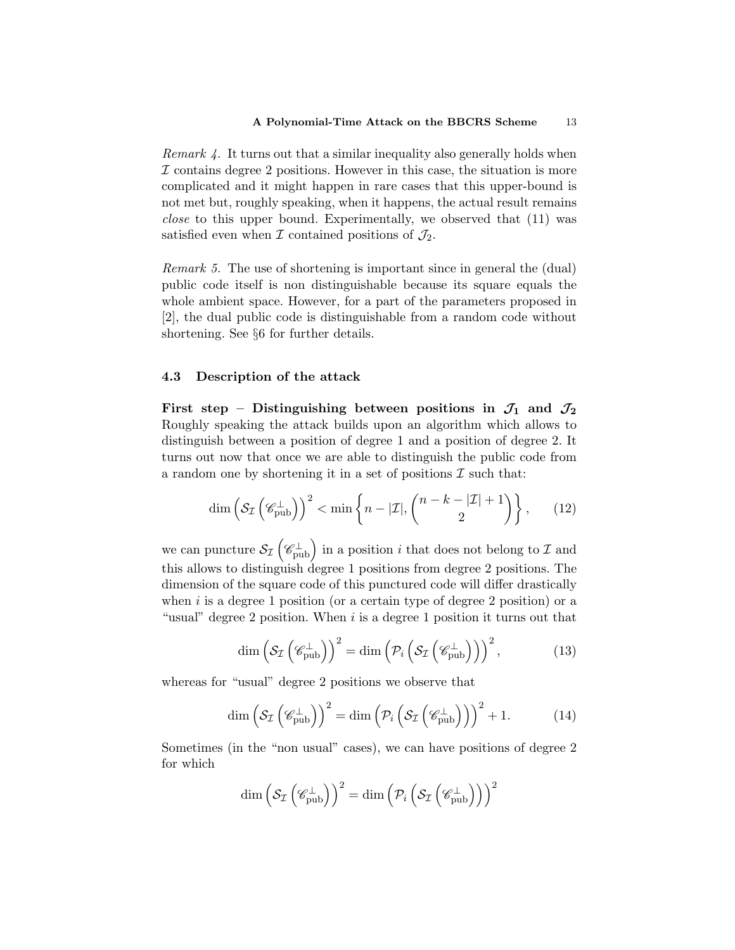*Remark 4.* It turns out that a similar inequality also generally holds when  $I$  contains degree 2 positions. However in this case, the situation is more complicated and it might happen in rare cases that this upper-bound is not met but, roughly speaking, when it happens, the actual result remains close to this upper bound. Experimentally, we observed that (11) was satisfied even when  $\mathcal I$  contained positions of  $\mathcal J_2$ .

Remark 5. The use of shortening is important since in general the (dual) public code itself is non distinguishable because its square equals the whole ambient space. However, for a part of the parameters proposed in [2], the dual public code is distinguishable from a random code without shortening. See §6 for further details.

#### 4.3 Description of the attack

First step – Distinguishing between positions in  $\mathcal{J}_1$  and  $\mathcal{J}_2$ Roughly speaking the attack builds upon an algorithm which allows to distinguish between a position of degree 1 and a position of degree 2. It turns out now that once we are able to distinguish the public code from a random one by shortening it in a set of positions  $\mathcal I$  such that:

$$
\dim\left(\mathcal{S}_{\mathcal{I}}\left(\mathscr{C}_{\text{pub}}^{\perp}\right)\right)^{2} < \min\left\{n - |\mathcal{I}|, \binom{n - k - |\mathcal{I}| + 1}{2}\right\},\qquad(12)
$$

we can puncture  $\mathcal{S}_{\mathcal{I}}\left(\mathscr{C}_{\text{pub}}^{\perp}\right)$  in a position i that does not belong to  $\mathcal{I}$  and this allows to distinguish degree 1 positions from degree 2 positions. The dimension of the square code of this punctured code will differ drastically when  $i$  is a degree 1 position (or a certain type of degree 2 position) or a "usual" degree 2 position. When  $i$  is a degree 1 position it turns out that

$$
\dim\left(\mathcal{S}_{\mathcal{I}}\left(\mathscr{C}_{\text{pub}}^{\perp}\right)\right)^{2} = \dim\left(\mathcal{P}_{i}\left(\mathcal{S}_{\mathcal{I}}\left(\mathscr{C}_{\text{pub}}^{\perp}\right)\right)\right)^{2},\tag{13}
$$

whereas for "usual" degree 2 positions we observe that

$$
\dim\left(\mathcal{S}_{\mathcal{I}}\left(\mathscr{C}_{\text{pub}}^{\perp}\right)\right)^{2} = \dim\left(\mathcal{P}_{i}\left(\mathcal{S}_{\mathcal{I}}\left(\mathscr{C}_{\text{pub}}^{\perp}\right)\right)\right)^{2} + 1. \tag{14}
$$

Sometimes (in the "non usual" cases), we can have positions of degree 2 for which

$$
\dim\left(S_{\mathcal{I}}\left(\mathscr{C}_{\mathrm{pub}}^{\perp}\right)\right)^{2} = \dim\left(\mathcal{P}_{i}\left(\mathcal{S}_{\mathcal{I}}\left(\mathscr{C}_{\mathrm{pub}}^{\perp}\right)\right)\right)^{2}
$$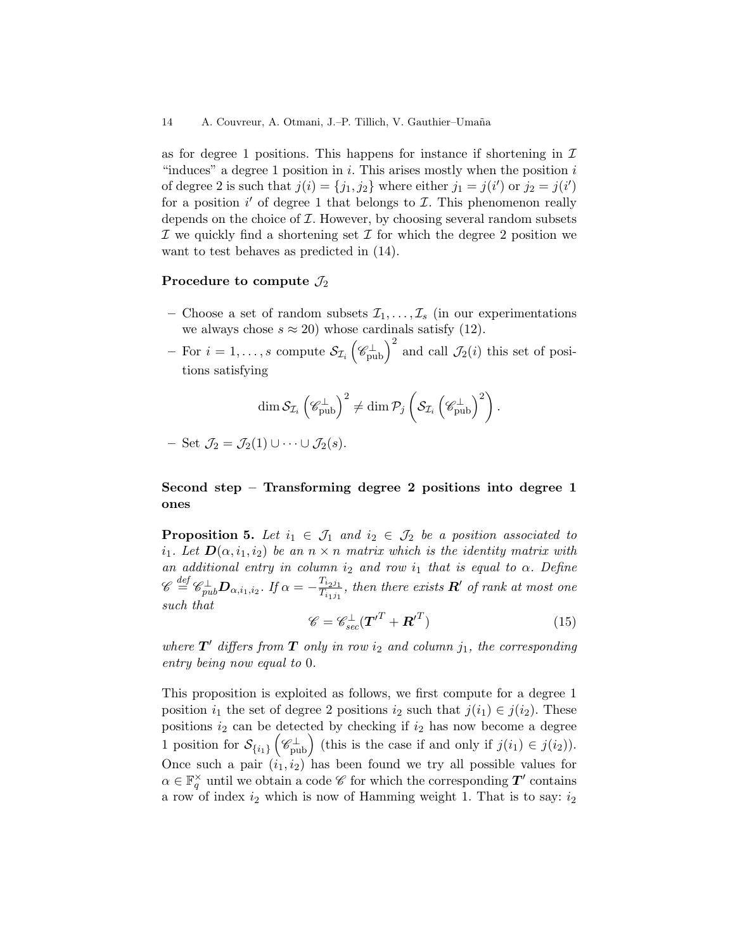as for degree 1 positions. This happens for instance if shortening in  $\mathcal I$ "induces" a degree 1 position in  $i$ . This arises mostly when the position  $i$ of degree 2 is such that  $j(i) = \{j_1, j_2\}$  where either  $j_1 = j(i')$  or  $j_2 = j(i')$ for a position  $i'$  of degree 1 that belongs to  $\mathcal{I}$ . This phenomenon really depends on the choice of  $\mathcal I$ . However, by choosing several random subsets  $\mathcal I$  we quickly find a shortening set  $\mathcal I$  for which the degree 2 position we want to test behaves as predicted in (14).

### Procedure to compute  $\mathcal{J}_2$

- Choose a set of random subsets  $\mathcal{I}_1, \ldots, \mathcal{I}_s$  (in our experimentations we always chose  $s \approx 20$ ) whose cardinals satisfy (12).
- For  $i = 1, ..., s$  compute  $S_{\mathcal{I}_i} \left( \mathscr{C}_{\text{pub}}^{\perp} \right)^2$  and call  $\mathcal{J}_2(i)$  this set of positions satisfying

$$
\dim \mathcal{S}_{\mathcal{I}_i}\left(\mathscr{C}_{\mathrm{pub}}^{\perp}\right)^2 \neq \dim \mathcal{P}_j\left(\mathcal{S}_{\mathcal{I}_i}\left(\mathscr{C}_{\mathrm{pub}}^{\perp}\right)^2\right).
$$

 $-$  Set  $\mathcal{J}_2 = \mathcal{J}_2(1) \cup \cdots \cup \mathcal{J}_2(s)$ .

# Second step – Transforming degree 2 positions into degree 1 ones

**Proposition 5.** Let  $i_1 \in \mathcal{J}_1$  and  $i_2 \in \mathcal{J}_2$  be a position associated to i<sub>1</sub>. Let  $\mathbf{D}(\alpha, i_1, i_2)$  be an  $n \times n$  matrix which is the identity matrix with an additional entry in column i<sub>2</sub> and row i<sub>1</sub> that is equal to  $\alpha$ . Define  $\mathscr{C} \stackrel{def}{=} \mathscr{C}^{\perp}_{pub} \mathbf{D}_{\alpha,i_1,i_2}$ . If  $\alpha = -\frac{T_{i_2j_1}}{T_{i_1j_1}}$  $\frac{T_{i_{2}j_{1}}}{T_{i_{1}j_{1}}}$ , then there exists  $\boldsymbol{R}^{\prime}$  of rank at most one such that

$$
\mathscr{C} = \mathscr{C}_{sec}^{\perp}(\boldsymbol{T}'^T + \boldsymbol{R}'^T) \tag{15}
$$

where  $T'$  differs from  $T$  only in row  $i_2$  and column  $j_1$ , the corresponding entry being now equal to 0.

This proposition is exploited as follows, we first compute for a degree 1 position  $i_1$  the set of degree 2 positions  $i_2$  such that  $j(i_1) \in j(i_2)$ . These positions  $i_2$  can be detected by checking if  $i_2$  has now become a degree 1 position for  $\mathcal{S}_{\{i_1\}}\left(\mathscr{C}_{\text{pub}}^{\perp}\right)$  (this is the case if and only if  $j(i_1) \in j(i_2)$ ). Once such a pair  $(i_1, i_2)$  has been found we try all possible values for  $\alpha \in \mathbb{F}_q^{\times}$  until we obtain a code  $\mathscr{C}$  for which the corresponding  $T'$  contains a row of index  $i_2$  which is now of Hamming weight 1. That is to say:  $i_2$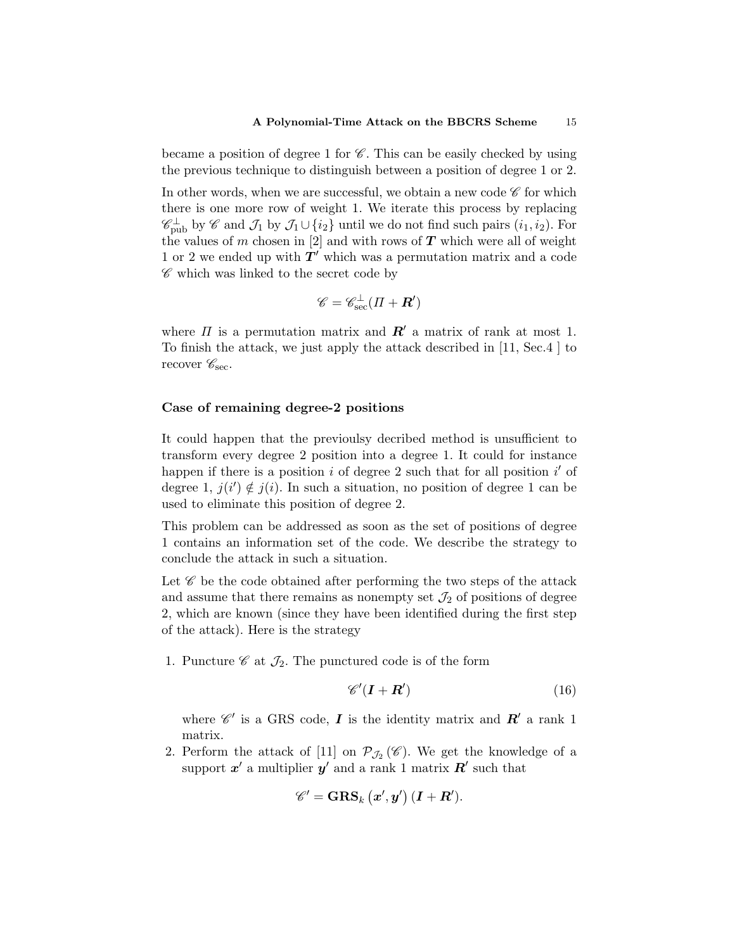became a position of degree 1 for  $\mathscr C$ . This can be easily checked by using the previous technique to distinguish between a position of degree 1 or 2.

In other words, when we are successful, we obtain a new code  $\mathscr C$  for which there is one more row of weight 1. We iterate this process by replacing  $\mathscr{C}^\perp_{\text{pub}}$  by  $\mathscr{C}$  and  $\mathcal{J}_1$  by  $\mathcal{J}_1 \cup \{i_2\}$  until we do not find such pairs  $(i_1, i_2)$ . For the values of m chosen in [2] and with rows of  $T$  which were all of weight 1 or 2 we ended up with  $T'$  which was a permutation matrix and a code  $\mathscr C$  which was linked to the secret code by

$$
\mathscr{C}=\mathscr{C}_{\rm sec}^{\perp}( \varPi + \boldsymbol{R'})
$$

where  $\Pi$  is a permutation matrix and  $\mathbb{R}^{\prime}$  a matrix of rank at most 1. To finish the attack, we just apply the attack described in [11, Sec.4 ] to recover  $\mathscr{C}_{\text{sec}}$ .

#### Case of remaining degree-2 positions

It could happen that the previoulsy decribed method is unsufficient to transform every degree 2 position into a degree 1. It could for instance happen if there is a position  $i$  of degree 2 such that for all position  $i'$  of degree 1,  $j(i') \notin j(i)$ . In such a situation, no position of degree 1 can be used to eliminate this position of degree 2.

This problem can be addressed as soon as the set of positions of degree 1 contains an information set of the code. We describe the strategy to conclude the attack in such a situation.

Let  $\mathscr C$  be the code obtained after performing the two steps of the attack and assume that there remains as nonempty set  $\mathcal{J}_2$  of positions of degree 2, which are known (since they have been identified during the first step of the attack). Here is the strategy

1. Puncture  $\mathscr C$  at  $\mathcal J_2$ . The punctured code is of the form

$$
\mathscr{C}'(\boldsymbol{I} + \boldsymbol{R}') \tag{16}
$$

where  $\mathscr{C}'$  is a GRS code, **I** is the identity matrix and  $R'$  a rank 1 matrix.

2. Perform the attack of [11] on  $\mathcal{P}_{\mathcal{J}_2}(\mathscr{C})$ . We get the knowledge of a support  $x'$  a multiplier  $y'$  and a rank 1 matrix  $R'$  such that

$$
\mathscr{C}'=\mathbf{GRS}_{k}\left(x',y'\right)(\boldsymbol{I}+\boldsymbol{R}').
$$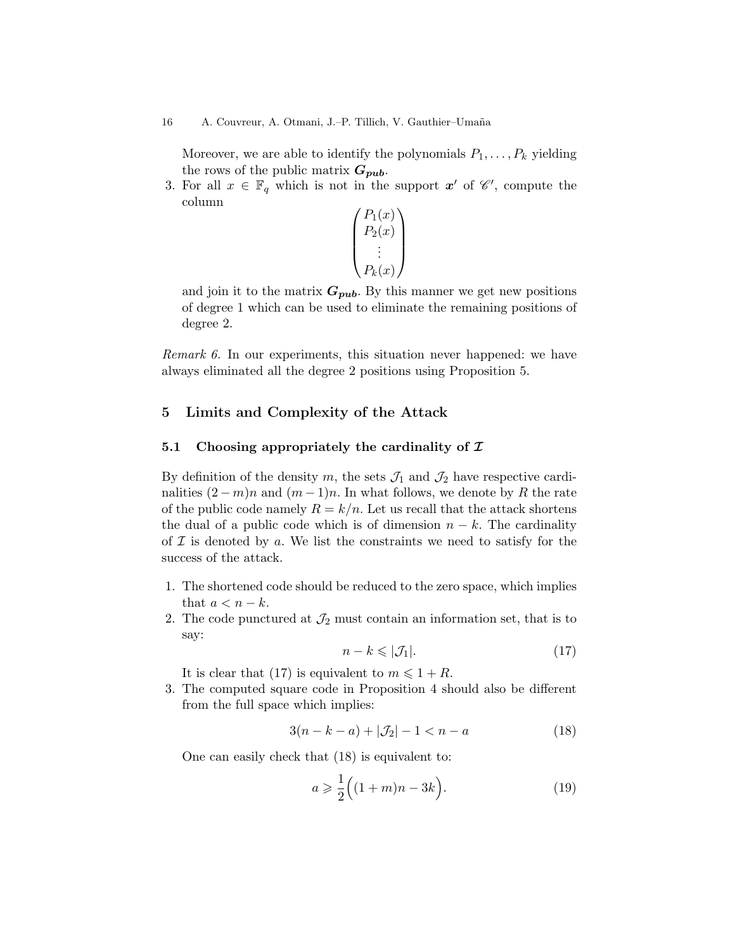#### 16 A. Couvreur, A. Otmani, J.–P. Tillich, V. Gauthier–Umaña

Moreover, we are able to identify the polynomials  $P_1, \ldots, P_k$  yielding the rows of the public matrix  $G_{pub}$ .

3. For all  $x \in \mathbb{F}_q$  which is not in the support  $x'$  of  $\mathscr{C}'$ , compute the column

$$
\begin{pmatrix} P_1(x) \\ P_2(x) \\ \vdots \\ P_k(x) \end{pmatrix}
$$

and join it to the matrix  $G_{pub}$ . By this manner we get new positions of degree 1 which can be used to eliminate the remaining positions of degree 2.

Remark 6. In our experiments, this situation never happened: we have always eliminated all the degree 2 positions using Proposition 5.

# 5 Limits and Complexity of the Attack

# 5.1 Choosing appropriately the cardinality of  $\mathcal I$

By definition of the density m, the sets  $\mathcal{J}_1$  and  $\mathcal{J}_2$  have respective cardinalities  $(2-m)n$  and  $(m-1)n$ . In what follows, we denote by R the rate of the public code namely  $R = k/n$ . Let us recall that the attack shortens the dual of a public code which is of dimension  $n - k$ . The cardinality of  $\mathcal I$  is denoted by a. We list the constraints we need to satisfy for the success of the attack.

- 1. The shortened code should be reduced to the zero space, which implies that  $a < n - k$ .
- 2. The code punctured at  $\mathcal{J}_2$  must contain an information set, that is to say:

$$
n - k \leqslant |\mathcal{J}_1|.\tag{17}
$$

It is clear that (17) is equivalent to  $m \leq 1 + R$ .

3. The computed square code in Proposition 4 should also be different from the full space which implies:

$$
3(n-k-a) + |\mathcal{J}_2| - 1 < n-a \tag{18}
$$

One can easily check that (18) is equivalent to:

$$
a \geqslant \frac{1}{2} \Big( (1+m)n - 3k \Big). \tag{19}
$$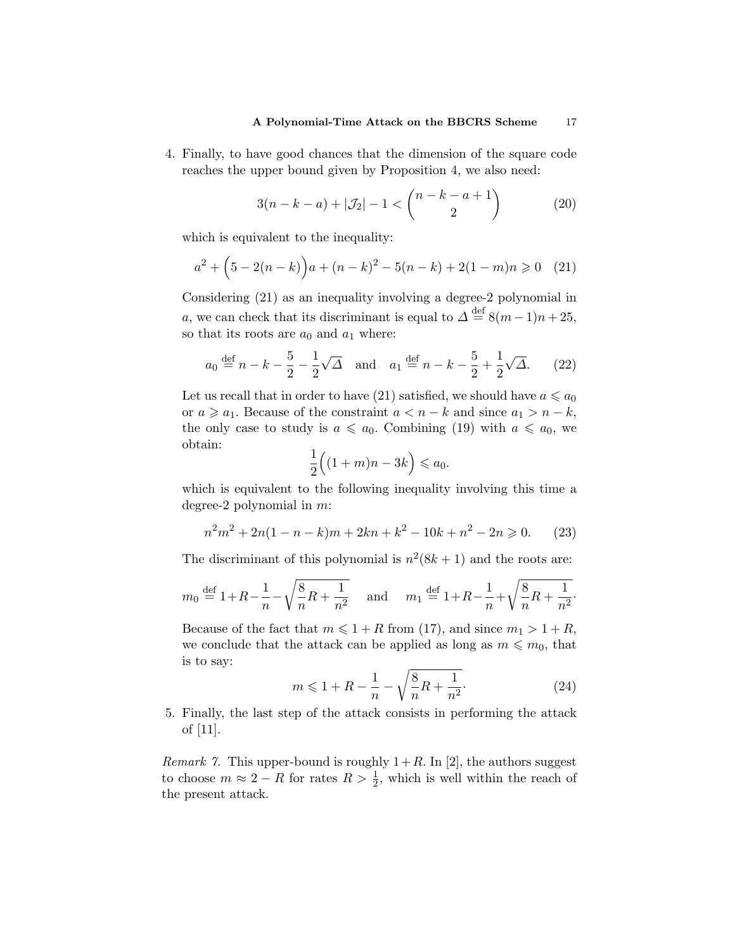4. Finally, to have good chances that the dimension of the square code reaches the upper bound given by Proposition 4, we also need:

$$
3(n-k-a) + |\mathcal{J}_2| - 1 < \binom{n-k-a+1}{2} \tag{20}
$$

which is equivalent to the inequality:

$$
a^{2} + (5 - 2(n - k))a + (n - k)^{2} - 5(n - k) + 2(1 - m)n \ge 0
$$
 (21)

Considering (21) as an inequality involving a degree-2 polynomial in a, we can check that its discriminant is equal to  $\Delta \stackrel{\text{def}}{=} 8(m-1)n + 25$ , so that its roots are  $a_0$  and  $a_1$  where:

$$
a_0 \stackrel{\text{def}}{=} n - k - \frac{5}{2} - \frac{1}{2}\sqrt{\Delta} \text{ and } a_1 \stackrel{\text{def}}{=} n - k - \frac{5}{2} + \frac{1}{2}\sqrt{\Delta}. \tag{22}
$$

Let us recall that in order to have (21) satisfied, we should have  $a \leq a_0$ or  $a \ge a_1$ . Because of the constraint  $a < n - k$  and since  $a_1 > n - k$ , the only case to study is  $a \leq a_0$ . Combining (19) with  $a \leq a_0$ , we obtain:

$$
\frac{1}{2}((1+m)n - 3k) \leq a_0.
$$

which is equivalent to the following inequality involving this time a degree-2 polynomial in  $m$ :

$$
n^2m^2 + 2n(1 - n - k)m + 2kn + k^2 - 10k + n^2 - 2n \ge 0.
$$
 (23)

The discriminant of this polynomial is  $n^2(8k+1)$  and the roots are:

$$
m_0 \stackrel{\text{def}}{=} 1 + R - \frac{1}{n} - \sqrt{\frac{8}{n}R + \frac{1}{n^2}}
$$
 and  $m_1 \stackrel{\text{def}}{=} 1 + R - \frac{1}{n} + \sqrt{\frac{8}{n}R + \frac{1}{n^2}}$ .

Because of the fact that  $m \leq 1 + R$  from (17), and since  $m_1 > 1 + R$ , we conclude that the attack can be applied as long as  $m \leq m_0$ , that is to say:

$$
m \leq 1 + R - \frac{1}{n} - \sqrt{\frac{8}{n}R + \frac{1}{n^2}}.
$$
\n(24)

5. Finally, the last step of the attack consists in performing the attack of [11].

*Remark 7.* This upper-bound is roughly  $1+R$ . In [2], the authors suggest to choose  $m \approx 2 - R$  for rates  $R > \frac{1}{2}$ , which is well within the reach of the present attack.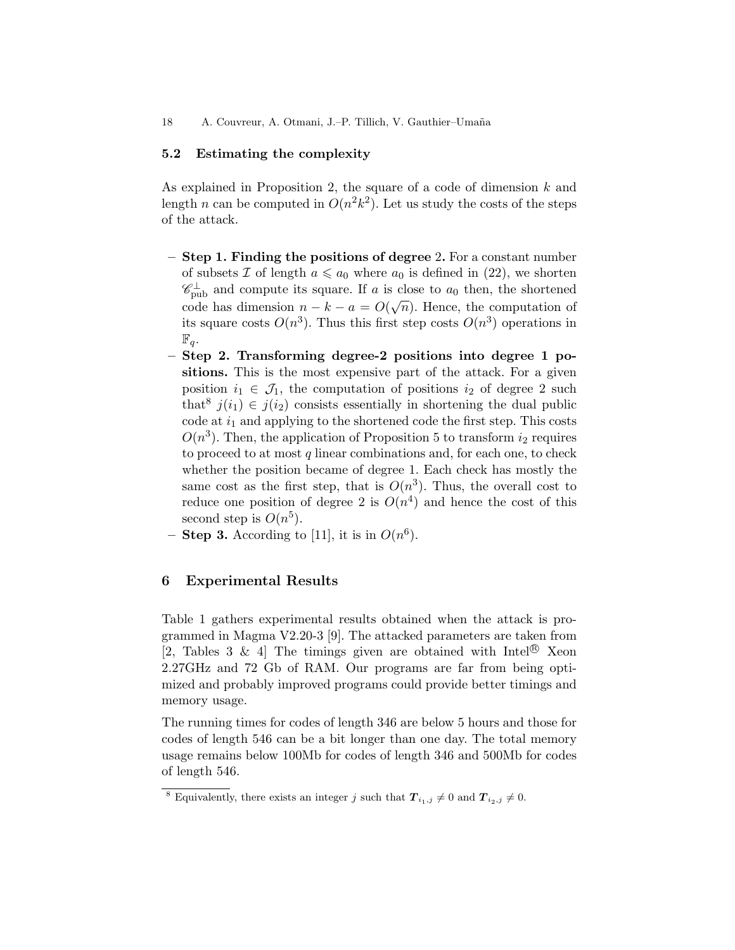### 5.2 Estimating the complexity

As explained in Proposition 2, the square of a code of dimension k and length n can be computed in  $O(n^2k^2)$ . Let us study the costs of the steps of the attack.

- Step 1. Finding the positions of degree 2. For a constant number of subsets  $\mathcal I$  of length  $a \leq a_0$  where  $a_0$  is defined in (22), we shorten  $\mathscr{C}^{\perp}_{\text{pub}}$  and compute its square. If a is close to  $a_0$  then, the shortened code has dimension  $n - k - a = O(\sqrt{n})$ . Hence, the computation of its square costs  $O(n^3)$ . Thus this first step costs  $O(n^3)$  operations in  $\mathbb{F}_q$ .
- Step 2. Transforming degree-2 positions into degree 1 positions. This is the most expensive part of the attack. For a given position  $i_1 \in \mathcal{J}_1$ , the computation of positions  $i_2$  of degree 2 such that<sup>8</sup>  $j(i_1) \in j(i_2)$  consists essentially in shortening the dual public code at  $i_1$  and applying to the shortened code the first step. This costs  $O(n^3)$ . Then, the application of Proposition 5 to transform  $i_2$  requires to proceed to at most  $q$  linear combinations and, for each one, to check whether the position became of degree 1. Each check has mostly the same cost as the first step, that is  $O(n^3)$ . Thus, the overall cost to reduce one position of degree 2 is  $O(n^4)$  and hence the cost of this second step is  $O(n^5)$ .
- Step 3. According to [11], it is in  $O(n^6)$ .

# 6 Experimental Results

Table 1 gathers experimental results obtained when the attack is programmed in Magma V2.20-3 [9]. The attacked parameters are taken from [2, Tables 3 & 4] The timings given are obtained with Intel<sup>®</sup> Xeon 2.27GHz and 72 Gb of RAM. Our programs are far from being optimized and probably improved programs could provide better timings and memory usage.

The running times for codes of length 346 are below 5 hours and those for codes of length 546 can be a bit longer than one day. The total memory usage remains below 100Mb for codes of length 346 and 500Mb for codes of length 546.

<sup>&</sup>lt;sup>8</sup> Equivalently, there exists an integer j such that  $T_{i_1,j} \neq 0$  and  $T_{i_2,j} \neq 0$ .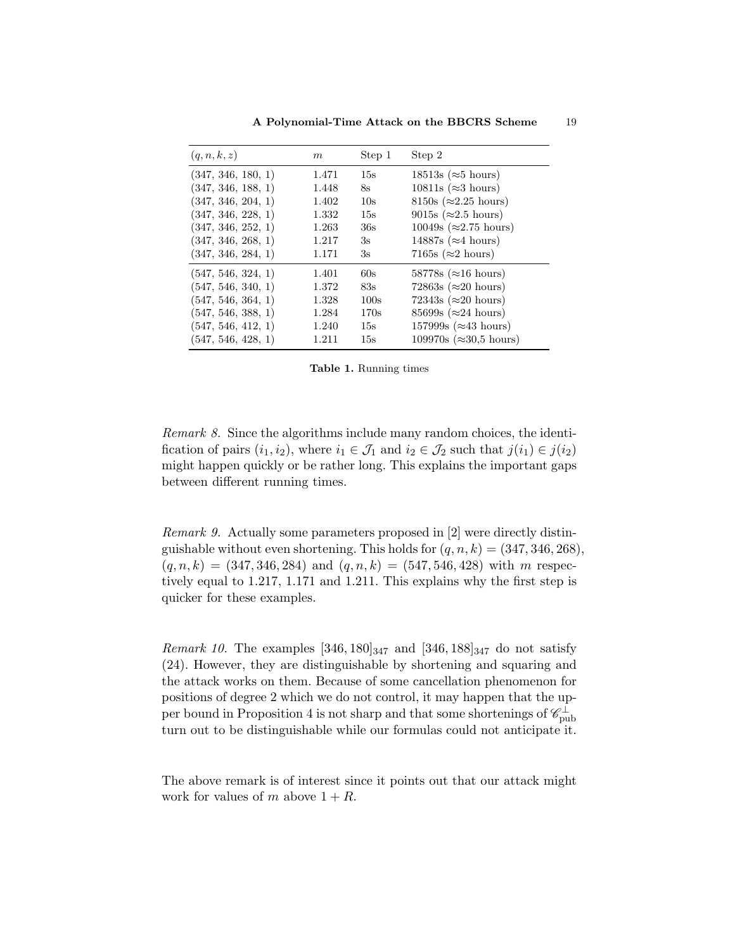| (q, n, k, z)       | $m\,$ | Step 1 | Step 2                               |
|--------------------|-------|--------|--------------------------------------|
| (347, 346, 180, 1) | 1.471 | 15s    | $18513s \approx 5$ hours)            |
| (347, 346, 188, 1) | 1.448 | 8s     | $10811s \approx 3$ hours)            |
| (347, 346, 204, 1) | 1.402 | 10s    | $8150s$ ( $\approx$ 2.25 hours)      |
| (347, 346, 228, 1) | 1.332 | 15s    | 9015s ( $\approx$ 2.5 hours)         |
| (347, 346, 252, 1) | 1.263 | 36s    | 10049s ( $\approx$ 2.75 hours)       |
| (347, 346, 268, 1) | 1.217 | 3s     | 14887s ( $\approx$ 4 hours)          |
| (347, 346, 284, 1) | 1.171 | 3s     | 7165s ( $\approx$ 2 hours)           |
| (547, 546, 324, 1) | 1.401 | 60s    | $58778s \approx 16 \text{ hours}$    |
| (547, 546, 340, 1) | 1.372 | 83s    | 72863s ( $\approx$ 20 hours)         |
| (547, 546, 364, 1) | 1.328 | 100s   | 72343s ( $\approx$ 20 hours)         |
| (547, 546, 388, 1) | 1.284 | 170s   | $85699s \approx 24 \text{ hours}$    |
| (547, 546, 412, 1) | 1.240 | 15s    | $157999s \approx 43$ hours)          |
| (547, 546, 428, 1) | 1.211 | 15s    | $109970s \approx 30.5 \text{ hours}$ |

Table 1. Running times

Remark 8. Since the algorithms include many random choices, the identification of pairs  $(i_1, i_2)$ , where  $i_1 \in \mathcal{J}_1$  and  $i_2 \in \mathcal{J}_2$  such that  $j(i_1) \in j(i_2)$ might happen quickly or be rather long. This explains the important gaps between different running times.

Remark 9. Actually some parameters proposed in [2] were directly distinguishable without even shortening. This holds for  $(q, n, k) = (347, 346, 268)$ ,  $(q, n, k) = (347, 346, 284)$  and  $(q, n, k) = (547, 546, 428)$  with m respectively equal to 1.217, 1.171 and 1.211. This explains why the first step is quicker for these examples.

*Remark 10.* The examples  $[346, 180]_{347}$  and  $[346, 188]_{347}$  do not satisfy (24). However, they are distinguishable by shortening and squaring and the attack works on them. Because of some cancellation phenomenon for positions of degree 2 which we do not control, it may happen that the upper bound in Proposition 4 is not sharp and that some shortenings of  $\mathscr{C}^{\perp}_{\text{pub}}$ turn out to be distinguishable while our formulas could not anticipate it.

The above remark is of interest since it points out that our attack might work for values of m above  $1 + R$ .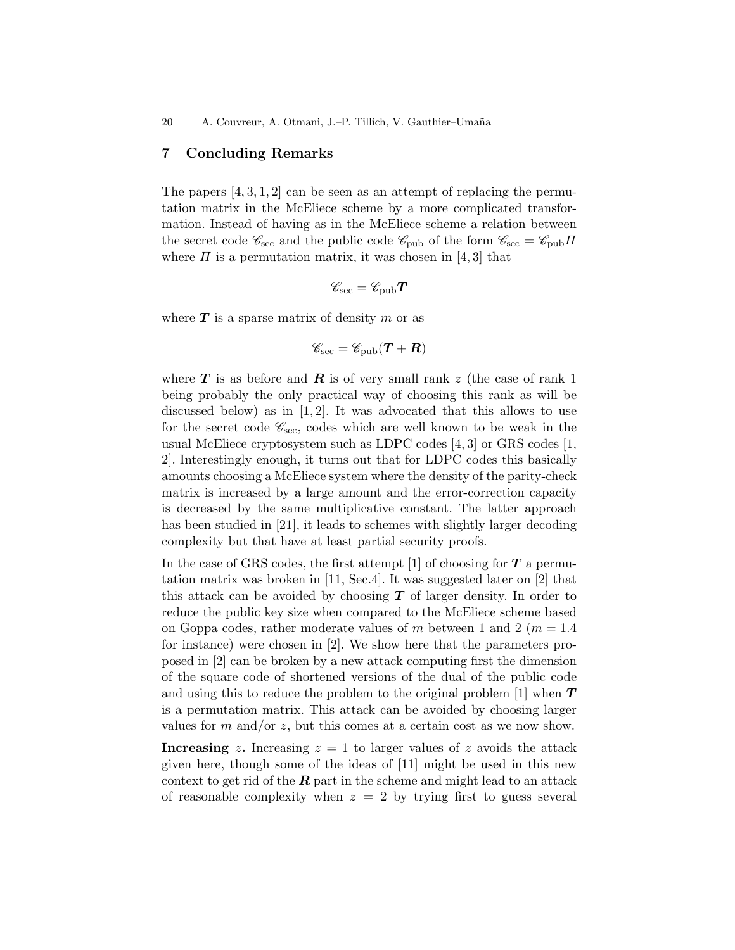# 7 Concluding Remarks

The papers  $[4, 3, 1, 2]$  can be seen as an attempt of replacing the permutation matrix in the McEliece scheme by a more complicated transformation. Instead of having as in the McEliece scheme a relation between the secret code  $\mathscr{C}_{\text{sec}}$  and the public code  $\mathscr{C}_{\text{pub}}$  of the form  $\mathscr{C}_{\text{sec}} = \mathscr{C}_{\text{pub}}\Pi$ where  $\Pi$  is a permutation matrix, it was chosen in [4, 3] that

$$
\mathscr{C}_{\mathrm{sec}}=\mathscr{C}_{\mathrm{pub}}\bm{T}
$$

where  $T$  is a sparse matrix of density  $m$  or as

$$
\mathscr{C}_{\mathrm{sec}}=\mathscr{C}_{\mathrm{pub}}(\bm{T}+\bm{R})
$$

where  $T$  is as before and  $R$  is of very small rank z (the case of rank 1) being probably the only practical way of choosing this rank as will be discussed below) as in  $[1, 2]$ . It was advocated that this allows to use for the secret code  $\mathscr{C}_{\text{sec}}$ , codes which are well known to be weak in the usual McEliece cryptosystem such as LDPC codes [4, 3] or GRS codes [1, 2]. Interestingly enough, it turns out that for LDPC codes this basically amounts choosing a McEliece system where the density of the parity-check matrix is increased by a large amount and the error-correction capacity is decreased by the same multiplicative constant. The latter approach has been studied in [21], it leads to schemes with slightly larger decoding complexity but that have at least partial security proofs.

In the case of GRS codes, the first attempt [1] of choosing for  $T$  a permutation matrix was broken in [11, Sec.4]. It was suggested later on [2] that this attack can be avoided by choosing  $T$  of larger density. In order to reduce the public key size when compared to the McEliece scheme based on Goppa codes, rather moderate values of m between 1 and 2 ( $m = 1.4$ ) for instance) were chosen in [2]. We show here that the parameters proposed in [2] can be broken by a new attack computing first the dimension of the square code of shortened versions of the dual of the public code and using this to reduce the problem to the original problem  $[1]$  when  $T$ is a permutation matrix. This attack can be avoided by choosing larger values for  $m$  and/or  $z$ , but this comes at a certain cost as we now show.

**Increasing z.** Increasing  $z = 1$  to larger values of z avoids the attack given here, though some of the ideas of [11] might be used in this new context to get rid of the  $R$  part in the scheme and might lead to an attack of reasonable complexity when  $z = 2$  by trying first to guess several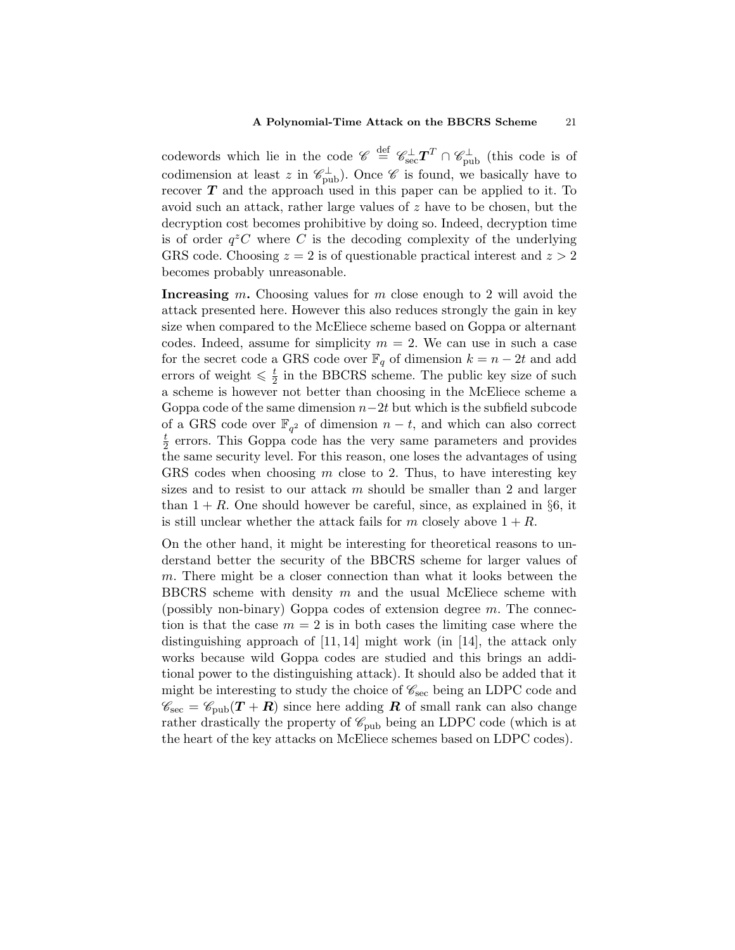codewords which lie in the code  $\mathscr{C} \stackrel{\text{def}}{=} \mathscr{C}_{\text{sec}}^{\perp} T^T \cap \mathscr{C}_{\text{pub}}^{\perp}$  (this code is of codimension at least z in  $\mathscr{C}^{\perp}_{\text{pub}}$ ). Once  $\mathscr{C}$  is found, we basically have to recover  $T$  and the approach used in this paper can be applied to it. To avoid such an attack, rather large values of  $z$  have to be chosen, but the decryption cost becomes prohibitive by doing so. Indeed, decryption time is of order  $q^zC$  where C is the decoding complexity of the underlying GRS code. Choosing  $z = 2$  is of questionable practical interest and  $z > 2$ becomes probably unreasonable.

**Increasing** m. Choosing values for m close enough to 2 will avoid the attack presented here. However this also reduces strongly the gain in key size when compared to the McEliece scheme based on Goppa or alternant codes. Indeed, assume for simplicity  $m = 2$ . We can use in such a case for the secret code a GRS code over  $\mathbb{F}_q$  of dimension  $k = n - 2t$  and add errors of weight  $\leqslant \frac{t}{2}$  $\frac{t}{2}$  in the BBCRS scheme. The public key size of such a scheme is however not better than choosing in the McEliece scheme a Goppa code of the same dimension  $n-2t$  but which is the subfield subcode of a GRS code over  $\mathbb{F}_{q^2}$  of dimension  $n-t$ , and which can also correct t  $\frac{t}{2}$  errors. This Goppa code has the very same parameters and provides the same security level. For this reason, one loses the advantages of using GRS codes when choosing  $m$  close to 2. Thus, to have interesting key sizes and to resist to our attack  $m$  should be smaller than 2 and larger than  $1 + R$ . One should however be careful, since, as explained in §6, it is still unclear whether the attack fails for m closely above  $1 + R$ .

On the other hand, it might be interesting for theoretical reasons to understand better the security of the BBCRS scheme for larger values of m. There might be a closer connection than what it looks between the BBCRS scheme with density  $m$  and the usual McEliece scheme with (possibly non-binary) Goppa codes of extension degree  $m$ . The connection is that the case  $m = 2$  is in both cases the limiting case where the distinguishing approach of  $[11, 14]$  might work (in  $[14]$ , the attack only works because wild Goppa codes are studied and this brings an additional power to the distinguishing attack). It should also be added that it might be interesting to study the choice of  $\mathscr{C}_{\text{sec}}$  being an LDPC code and  $\mathscr{C}_{\text{sec}} = \mathscr{C}_{\text{pub}}(T + R)$  since here adding R of small rank can also change rather drastically the property of  $\mathcal{C}_{\text{pub}}$  being an LDPC code (which is at the heart of the key attacks on McEliece schemes based on LDPC codes).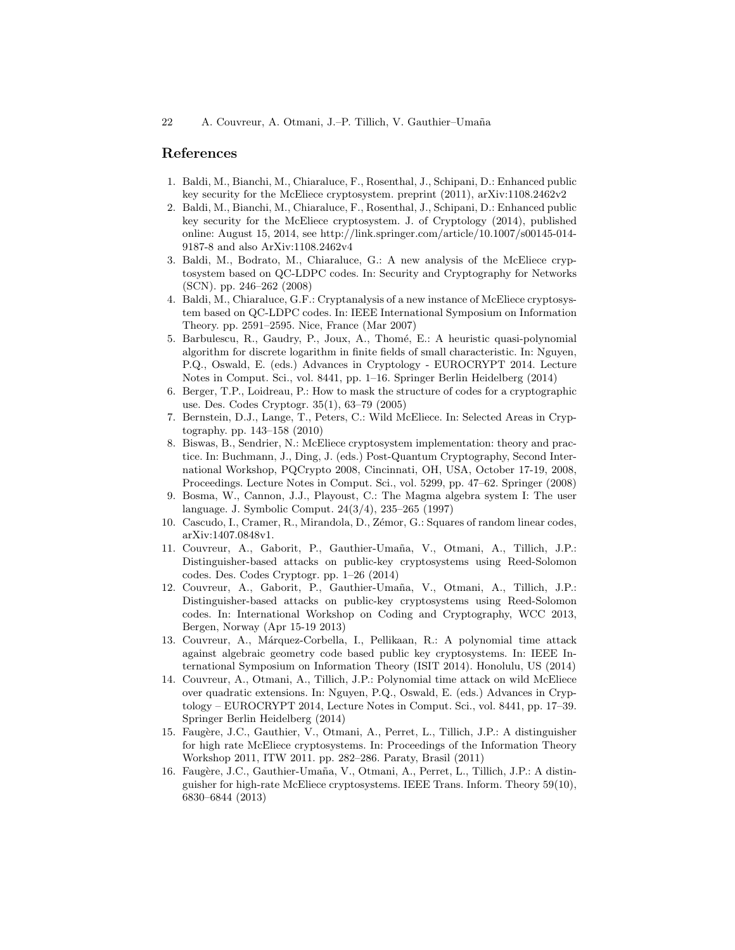# References

- 1. Baldi, M., Bianchi, M., Chiaraluce, F., Rosenthal, J., Schipani, D.: Enhanced public key security for the McEliece cryptosystem. preprint (2011), arXiv:1108.2462v2
- 2. Baldi, M., Bianchi, M., Chiaraluce, F., Rosenthal, J., Schipani, D.: Enhanced public key security for the McEliece cryptosystem. J. of Cryptology (2014), published online: August 15, 2014, see http://link.springer.com/article/10.1007/s00145-014- 9187-8 and also ArXiv:1108.2462v4
- 3. Baldi, M., Bodrato, M., Chiaraluce, G.: A new analysis of the McEliece cryptosystem based on QC-LDPC codes. In: Security and Cryptography for Networks (SCN). pp. 246–262 (2008)
- 4. Baldi, M., Chiaraluce, G.F.: Cryptanalysis of a new instance of McEliece cryptosystem based on QC-LDPC codes. In: IEEE International Symposium on Information Theory. pp. 2591–2595. Nice, France (Mar 2007)
- 5. Barbulescu, R., Gaudry, P., Joux, A., Thomé, E.: A heuristic quasi-polynomial algorithm for discrete logarithm in finite fields of small characteristic. In: Nguyen, P.Q., Oswald, E. (eds.) Advances in Cryptology - EUROCRYPT 2014. Lecture Notes in Comput. Sci., vol. 8441, pp. 1–16. Springer Berlin Heidelberg (2014)
- 6. Berger, T.P., Loidreau, P.: How to mask the structure of codes for a cryptographic use. Des. Codes Cryptogr. 35(1), 63–79 (2005)
- 7. Bernstein, D.J., Lange, T., Peters, C.: Wild McEliece. In: Selected Areas in Cryptography. pp. 143–158 (2010)
- 8. Biswas, B., Sendrier, N.: McEliece cryptosystem implementation: theory and practice. In: Buchmann, J., Ding, J. (eds.) Post-Quantum Cryptography, Second International Workshop, PQCrypto 2008, Cincinnati, OH, USA, October 17-19, 2008, Proceedings. Lecture Notes in Comput. Sci., vol. 5299, pp. 47–62. Springer (2008)
- 9. Bosma, W., Cannon, J.J., Playoust, C.: The Magma algebra system I: The user language. J. Symbolic Comput. 24(3/4), 235–265 (1997)
- 10. Cascudo, I., Cramer, R., Mirandola, D., Zémor, G.: Squares of random linear codes, arXiv:1407.0848v1.
- 11. Couvreur, A., Gaborit, P., Gauthier-Umaña, V., Otmani, A., Tillich, J.P.: Distinguisher-based attacks on public-key cryptosystems using Reed-Solomon codes. Des. Codes Cryptogr. pp. 1–26 (2014)
- 12. Couvreur, A., Gaborit, P., Gauthier-Umaña, V., Otmani, A., Tillich, J.P.: Distinguisher-based attacks on public-key cryptosystems using Reed-Solomon codes. In: International Workshop on Coding and Cryptography, WCC 2013, Bergen, Norway (Apr 15-19 2013)
- 13. Couvreur, A., M´arquez-Corbella, I., Pellikaan, R.: A polynomial time attack against algebraic geometry code based public key cryptosystems. In: IEEE International Symposium on Information Theory (ISIT 2014). Honolulu, US (2014)
- 14. Couvreur, A., Otmani, A., Tillich, J.P.: Polynomial time attack on wild McEliece over quadratic extensions. In: Nguyen, P.Q., Oswald, E. (eds.) Advances in Cryptology – EUROCRYPT 2014, Lecture Notes in Comput. Sci., vol. 8441, pp. 17–39. Springer Berlin Heidelberg (2014)
- 15. Faugère, J.C., Gauthier, V., Otmani, A., Perret, L., Tillich, J.P.: A distinguisher for high rate McEliece cryptosystems. In: Proceedings of the Information Theory Workshop 2011, ITW 2011. pp. 282–286. Paraty, Brasil (2011)
- 16. Faugère, J.C., Gauthier-Umaña, V., Otmani, A., Perret, L., Tillich, J.P.: A distinguisher for high-rate McEliece cryptosystems. IEEE Trans. Inform. Theory 59(10), 6830–6844 (2013)